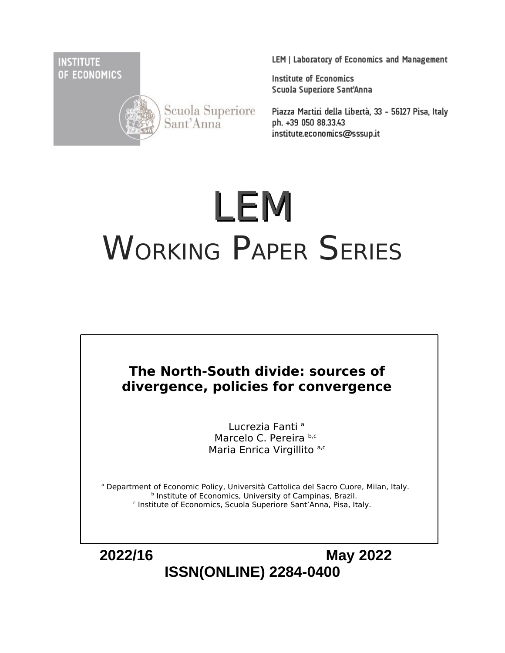**INSTITUTE** OF ECONOMICS



Scuola Superiore<br>Sant'Anna

LEM | Laboratory of Economics and Management

**Institute of Economics** Scuola Superiore Sant'Anna

Piazza Martiri della Libertà, 33 - 56127 Pisa, Italy ph. +39 050 88.33.43 institute.economics@sssup.it

# LEM WORKING PAPER SERIES

# **The North-South divide: sources of divergence, policies for convergence**

Lucrezia Fanti<sup>a</sup> Marcelo C. Pereira b,c Maria Enrica Virgillito a,c

<sup>a</sup> Department of Economic Policy, Università Cattolica del Sacro Cuore, Milan, Italy. **b** Institute of Economics, University of Campinas, Brazil. c Institute of Economics, Scuola Superiore Sant'Anna, Pisa, Italy.

 **2022/16 May 2022 ISSN(ONLINE) 2284-0400**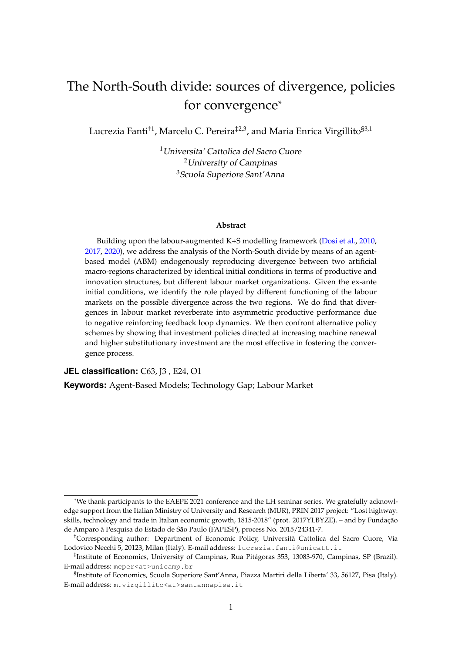# The North-South divide: sources of divergence, policies for convergence\*

Lucrezia Fanti<sup>†1</sup>, Marcelo C. Pereira<sup>‡2,3</sup>, and Maria Enrica Virgillito<sup>§3,1</sup>

<sup>1</sup>Universita' Cattolica del Sacro Cuore <sup>2</sup>University of Campinas <sup>3</sup>Scuola Superiore Sant'Anna

#### **Abstract**

Building upon the labour-augmented K+S modelling framework (Dosi et al., 2010, 2017, 2020), we address the analysis of the North-South divide by means of an agentbased model (ABM) endogenously reproducing divergence between two artificial macro-regions characterized by identical initial conditions in terms of productive and innovation structures, but different labour market organizations. Given the ex-ante initial conditions, we identify the role played by different functioning of the labour markets on the possible divergence across the two regions. We do find that divergences in labour market reverberate into asymmetric productive performance due to negative reinforcing feedback loop dynamics. We then confront alternative policy schemes by showing that investment policies directed at increasing machine renewal and higher substitutionary investment are the most effective in fostering the convergence process.

**JEL classification:** C63, J3 , E24, O1

**Keywords:** Agent-Based Models; Technology Gap; Labour Market

<sup>\*</sup>We thank participants to the EAEPE 2021 conference and the LH seminar series. We gratefully acknowledge support from the Italian Ministry of University and Research (MUR), PRIN 2017 project: "Lost highway: skills, technology and trade in Italian economic growth, 1815-2018" (prot. 2017YLBYZE). – and by Fundação de Amparo à Pesquisa do Estado de São Paulo (FAPESP), process No. 2015/24341-7.

<sup>†</sup>Corresponding author: Department of Economic Policy, Università Cattolica del Sacro Cuore, Via Lodovico Necchi 5, 20123, Milan (Italy). E-mail address: lucrezia.fanti@unicatt.it

<sup>‡</sup> Institute of Economics, University of Campinas, Rua Pitágoras 353, 13083-970, Campinas, SP (Brazil). E-mail address: mcper<at>unicamp.br

<sup>§</sup> Institute of Economics, Scuola Superiore Sant'Anna, Piazza Martiri della Liberta' 33, 56127, Pisa (Italy). E-mail address: m.virgillito<at>santannapisa.it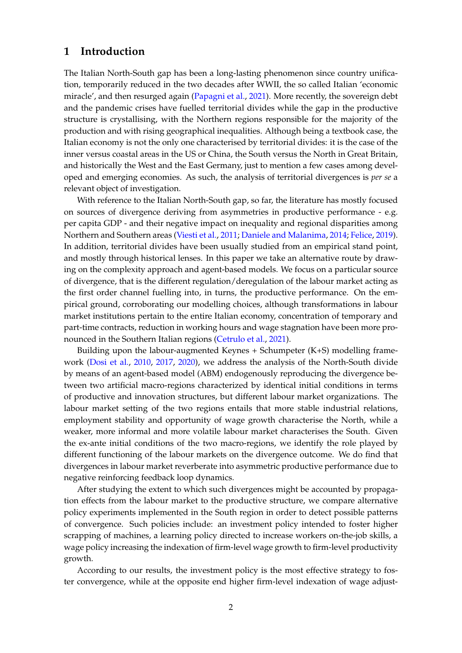## **1 Introduction**

The Italian North-South gap has been a long-lasting phenomenon since country unification, temporarily reduced in the two decades after WWII, the so called Italian 'economic miracle', and then resurged again (Papagni et al., 2021). More recently, the sovereign debt and the pandemic crises have fuelled territorial divides while the gap in the productive structure is crystallising, with the Northern regions responsible for the majority of the production and with rising geographical inequalities. Although being a textbook case, the Italian economy is not the only one characterised by territorial divides: it is the case of the inner versus coastal areas in the US or China, the South versus the North in Great Britain, and historically the West and the East Germany, just to mention a few cases among developed and emerging economies. As such, the analysis of territorial divergences is *per se* a relevant object of investigation.

With reference to the Italian North-South gap, so far, the literature has mostly focused on sources of divergence deriving from asymmetries in productive performance - e.g. per capita GDP - and their negative impact on inequality and regional disparities among Northern and Southern areas (Viesti et al., 2011; Daniele and Malanima, 2014; Felice, 2019). In addition, territorial divides have been usually studied from an empirical stand point, and mostly through historical lenses. In this paper we take an alternative route by drawing on the complexity approach and agent-based models. We focus on a particular source of divergence, that is the different regulation/deregulation of the labour market acting as the first order channel fuelling into, in turns, the productive performance. On the empirical ground, corroborating our modelling choices, although transformations in labour market institutions pertain to the entire Italian economy, concentration of temporary and part-time contracts, reduction in working hours and wage stagnation have been more pronounced in the Southern Italian regions (Cetrulo et al., 2021).

Building upon the labour-augmented Keynes + Schumpeter (K+S) modelling framework (Dosi et al., 2010, 2017, 2020), we address the analysis of the North-South divide by means of an agent-based model (ABM) endogenously reproducing the divergence between two artificial macro-regions characterized by identical initial conditions in terms of productive and innovation structures, but different labour market organizations. The labour market setting of the two regions entails that more stable industrial relations, employment stability and opportunity of wage growth characterise the North, while a weaker, more informal and more volatile labour market characterises the South. Given the ex-ante initial conditions of the two macro-regions, we identify the role played by different functioning of the labour markets on the divergence outcome. We do find that divergences in labour market reverberate into asymmetric productive performance due to negative reinforcing feedback loop dynamics.

After studying the extent to which such divergences might be accounted by propagation effects from the labour market to the productive structure, we compare alternative policy experiments implemented in the South region in order to detect possible patterns of convergence. Such policies include: an investment policy intended to foster higher scrapping of machines, a learning policy directed to increase workers on-the-job skills, a wage policy increasing the indexation of firm-level wage growth to firm-level productivity growth.

According to our results, the investment policy is the most effective strategy to foster convergence, while at the opposite end higher firm-level indexation of wage adjust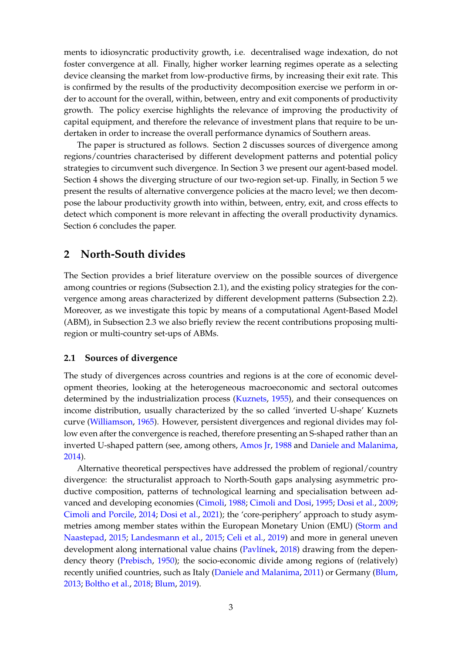ments to idiosyncratic productivity growth, i.e. decentralised wage indexation, do not foster convergence at all. Finally, higher worker learning regimes operate as a selecting device cleansing the market from low-productive firms, by increasing their exit rate. This is confirmed by the results of the productivity decomposition exercise we perform in order to account for the overall, within, between, entry and exit components of productivity growth. The policy exercise highlights the relevance of improving the productivity of capital equipment, and therefore the relevance of investment plans that require to be undertaken in order to increase the overall performance dynamics of Southern areas.

The paper is structured as follows. Section 2 discusses sources of divergence among regions/countries characterised by different development patterns and potential policy strategies to circumvent such divergence. In Section 3 we present our agent-based model. Section 4 shows the diverging structure of our two-region set-up. Finally, in Section 5 we present the results of alternative convergence policies at the macro level; we then decompose the labour productivity growth into within, between, entry, exit, and cross effects to detect which component is more relevant in affecting the overall productivity dynamics. Section 6 concludes the paper.

## **2 North-South divides**

The Section provides a brief literature overview on the possible sources of divergence among countries or regions (Subsection 2.1), and the existing policy strategies for the convergence among areas characterized by different development patterns (Subsection 2.2). Moreover, as we investigate this topic by means of a computational Agent-Based Model (ABM), in Subsection 2.3 we also briefly review the recent contributions proposing multiregion or multi-country set-ups of ABMs.

#### **2.1 Sources of divergence**

The study of divergences across countries and regions is at the core of economic development theories, looking at the heterogeneous macroeconomic and sectoral outcomes determined by the industrialization process (Kuznets, 1955), and their consequences on income distribution, usually characterized by the so called 'inverted U-shape' Kuznets curve (Williamson, 1965). However, persistent divergences and regional divides may follow even after the convergence is reached, therefore presenting an S-shaped rather than an inverted U-shaped pattern (see, among others, Amos Jr, 1988 and Daniele and Malanima, 2014).

Alternative theoretical perspectives have addressed the problem of regional/country divergence: the structuralist approach to North-South gaps analysing asymmetric productive composition, patterns of technological learning and specialisation between advanced and developing economies (Cimoli, 1988; Cimoli and Dosi, 1995; Dosi et al., 2009; Cimoli and Porcile, 2014; Dosi et al., 2021); the 'core-periphery' approach to study asymmetries among member states within the European Monetary Union (EMU) (Storm and Naastepad, 2015; Landesmann et al., 2015; Celi et al., 2019) and more in general uneven development along international value chains (Pavlínek, 2018) drawing from the dependency theory (Prebisch, 1950); the socio-economic divide among regions of (relatively) recently unified countries, such as Italy (Daniele and Malanima, 2011) or Germany (Blum, 2013; Boltho et al., 2018; Blum, 2019).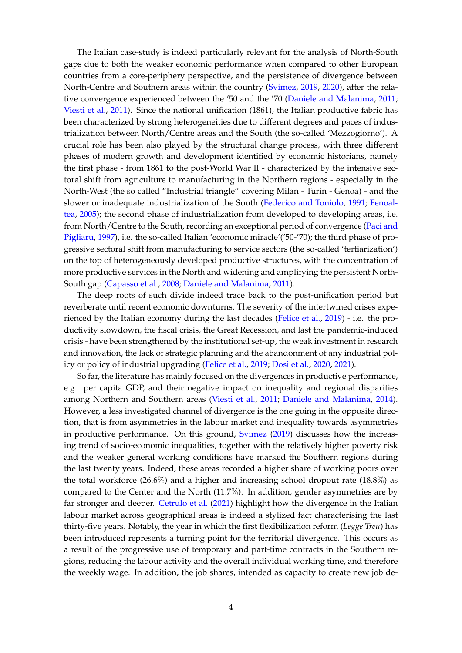The Italian case-study is indeed particularly relevant for the analysis of North-South gaps due to both the weaker economic performance when compared to other European countries from a core-periphery perspective, and the persistence of divergence between North-Centre and Southern areas within the country (Svimez, 2019, 2020), after the relative convergence experienced between the '50 and the '70 (Daniele and Malanima, 2011; Viesti et al., 2011). Since the national unification (1861), the Italian productive fabric has been characterized by strong heterogeneities due to different degrees and paces of industrialization between North/Centre areas and the South (the so-called 'Mezzogiorno'). A crucial role has been also played by the structural change process, with three different phases of modern growth and development identified by economic historians, namely the first phase - from 1861 to the post-World War II - characterized by the intensive sectoral shift from agriculture to manufacturing in the Northern regions - especially in the North-West (the so called "Industrial triangle" covering Milan - Turin - Genoa) - and the slower or inadequate industrialization of the South (Federico and Toniolo, 1991; Fenoaltea, 2005); the second phase of industrialization from developed to developing areas, i.e. from North/Centre to the South, recording an exceptional period of convergence (Paci and Pigliaru, 1997), i.e. the so-called Italian 'economic miracle'('50-'70); the third phase of progressive sectoral shift from manufacturing to service sectors (the so-called 'tertiarization') on the top of heterogeneously developed productive structures, with the concentration of more productive services in the North and widening and amplifying the persistent North-South gap (Capasso et al., 2008; Daniele and Malanima, 2011).

The deep roots of such divide indeed trace back to the post-unification period but reverberate until recent economic downturns. The severity of the intertwined crises experienced by the Italian economy during the last decades (Felice et al., 2019) - i.e. the productivity slowdown, the fiscal crisis, the Great Recession, and last the pandemic-induced crisis - have been strengthened by the institutional set-up, the weak investment in research and innovation, the lack of strategic planning and the abandonment of any industrial policy or policy of industrial upgrading (Felice et al., 2019; Dosi et al., 2020, 2021).

So far, the literature has mainly focused on the divergences in productive performance, e.g. per capita GDP, and their negative impact on inequality and regional disparities among Northern and Southern areas (Viesti et al., 2011; Daniele and Malanima, 2014). However, a less investigated channel of divergence is the one going in the opposite direction, that is from asymmetries in the labour market and inequality towards asymmetries in productive performance. On this ground, Svimez (2019) discusses how the increasing trend of socio-economic inequalities, together with the relatively higher poverty risk and the weaker general working conditions have marked the Southern regions during the last twenty years. Indeed, these areas recorded a higher share of working poors over the total workforce (26.6%) and a higher and increasing school dropout rate (18.8%) as compared to the Center and the North (11.7%). In addition, gender asymmetries are by far stronger and deeper. Cetrulo et al. (2021) highlight how the divergence in the Italian labour market across geographical areas is indeed a stylized fact characterising the last thirty-five years. Notably, the year in which the first flexibilization reform (*Legge Treu*) has been introduced represents a turning point for the territorial divergence. This occurs as a result of the progressive use of temporary and part-time contracts in the Southern regions, reducing the labour activity and the overall individual working time, and therefore the weekly wage. In addition, the job shares, intended as capacity to create new job de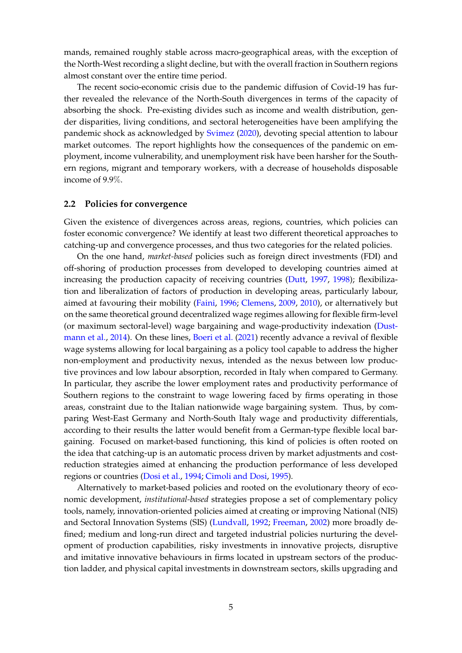mands, remained roughly stable across macro-geographical areas, with the exception of the North-West recording a slight decline, but with the overall fraction in Southern regions almost constant over the entire time period.

The recent socio-economic crisis due to the pandemic diffusion of Covid-19 has further revealed the relevance of the North-South divergences in terms of the capacity of absorbing the shock. Pre-existing divides such as income and wealth distribution, gender disparities, living conditions, and sectoral heterogeneities have been amplifying the pandemic shock as acknowledged by Svimez (2020), devoting special attention to labour market outcomes. The report highlights how the consequences of the pandemic on employment, income vulnerability, and unemployment risk have been harsher for the Southern regions, migrant and temporary workers, with a decrease of households disposable income of 9.9%.

#### **2.2 Policies for convergence**

Given the existence of divergences across areas, regions, countries, which policies can foster economic convergence? We identify at least two different theoretical approaches to catching-up and convergence processes, and thus two categories for the related policies.

On the one hand, *market-based* policies such as foreign direct investments (FDI) and off-shoring of production processes from developed to developing countries aimed at increasing the production capacity of receiving countries (Dutt, 1997, 1998); flexibilization and liberalization of factors of production in developing areas, particularly labour, aimed at favouring their mobility (Faini, 1996; Clemens, 2009, 2010), or alternatively but on the same theoretical ground decentralized wage regimes allowing for flexible firm-level (or maximum sectoral-level) wage bargaining and wage-productivity indexation (Dustmann et al., 2014). On these lines, Boeri et al. (2021) recently advance a revival of flexible wage systems allowing for local bargaining as a policy tool capable to address the higher non-employment and productivity nexus, intended as the nexus between low productive provinces and low labour absorption, recorded in Italy when compared to Germany. In particular, they ascribe the lower employment rates and productivity performance of Southern regions to the constraint to wage lowering faced by firms operating in those areas, constraint due to the Italian nationwide wage bargaining system. Thus, by comparing West-East Germany and North-South Italy wage and productivity differentials, according to their results the latter would benefit from a German-type flexible local bargaining. Focused on market-based functioning, this kind of policies is often rooted on the idea that catching-up is an automatic process driven by market adjustments and costreduction strategies aimed at enhancing the production performance of less developed regions or countries (Dosi et al., 1994; Cimoli and Dosi, 1995).

Alternatively to market-based policies and rooted on the evolutionary theory of economic development, *institutional-based* strategies propose a set of complementary policy tools, namely, innovation-oriented policies aimed at creating or improving National (NIS) and Sectoral Innovation Systems (SIS) (Lundvall, 1992; Freeman, 2002) more broadly defined; medium and long-run direct and targeted industrial policies nurturing the development of production capabilities, risky investments in innovative projects, disruptive and imitative innovative behaviours in firms located in upstream sectors of the production ladder, and physical capital investments in downstream sectors, skills upgrading and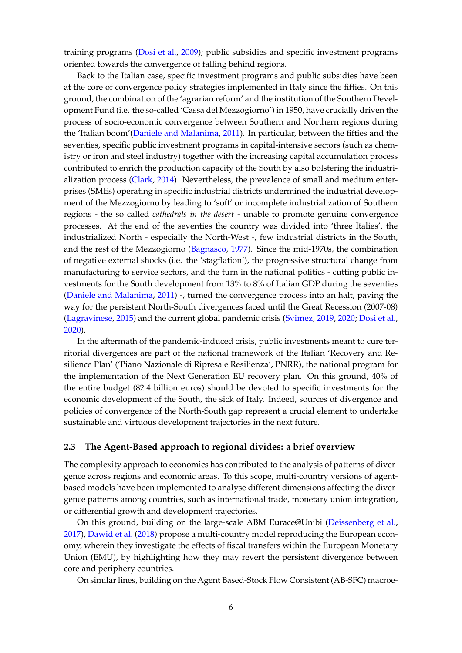training programs (Dosi et al., 2009); public subsidies and specific investment programs oriented towards the convergence of falling behind regions.

Back to the Italian case, specific investment programs and public subsidies have been at the core of convergence policy strategies implemented in Italy since the fifties. On this ground, the combination of the 'agrarian reform' and the institution of the Southern Development Fund (i.e. the so-called 'Cassa del Mezzogiorno') in 1950, have crucially driven the process of socio-economic convergence between Southern and Northern regions during the 'Italian boom'(Daniele and Malanima, 2011). In particular, between the fifties and the seventies, specific public investment programs in capital-intensive sectors (such as chemistry or iron and steel industry) together with the increasing capital accumulation process contributed to enrich the production capacity of the South by also bolstering the industrialization process (Clark, 2014). Nevertheless, the prevalence of small and medium enterprises (SMEs) operating in specific industrial districts undermined the industrial development of the Mezzogiorno by leading to 'soft' or incomplete industrialization of Southern regions - the so called *cathedrals in the desert* - unable to promote genuine convergence processes. At the end of the seventies the country was divided into 'three Italies', the industrialized North - especially the North-West -, few industrial districts in the South, and the rest of the Mezzogiorno (Bagnasco, 1977). Since the mid-1970s, the combination of negative external shocks (i.e. the 'stagflation'), the progressive structural change from manufacturing to service sectors, and the turn in the national politics - cutting public investments for the South development from 13% to 8% of Italian GDP during the seventies (Daniele and Malanima, 2011) -, turned the convergence process into an halt, paving the way for the persistent North-South divergences faced until the Great Recession (2007-08) (Lagravinese, 2015) and the current global pandemic crisis (Svimez, 2019, 2020; Dosi et al., 2020).

In the aftermath of the pandemic-induced crisis, public investments meant to cure territorial divergences are part of the national framework of the Italian 'Recovery and Resilience Plan' ('Piano Nazionale di Ripresa e Resilienza', PNRR), the national program for the implementation of the Next Generation EU recovery plan. On this ground, 40% of the entire budget (82.4 billion euros) should be devoted to specific investments for the economic development of the South, the sick of Italy. Indeed, sources of divergence and policies of convergence of the North-South gap represent a crucial element to undertake sustainable and virtuous development trajectories in the next future.

#### **2.3 The Agent-Based approach to regional divides: a brief overview**

The complexity approach to economics has contributed to the analysis of patterns of divergence across regions and economic areas. To this scope, multi-country versions of agentbased models have been implemented to analyse different dimensions affecting the divergence patterns among countries, such as international trade, monetary union integration, or differential growth and development trajectories.

On this ground, building on the large-scale ABM Eurace@Unibi (Deissenberg et al., 2017), Dawid et al. (2018) propose a multi-country model reproducing the European economy, wherein they investigate the effects of fiscal transfers within the European Monetary Union (EMU), by highlighting how they may revert the persistent divergence between core and periphery countries.

On similar lines, building on the Agent Based-Stock Flow Consistent (AB-SFC) macroe-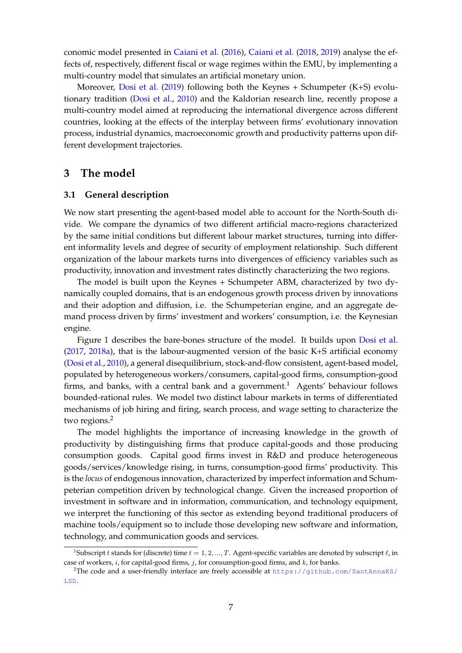conomic model presented in Caiani et al. (2016), Caiani et al. (2018, 2019) analyse the effects of, respectively, different fiscal or wage regimes within the EMU, by implementing a multi-country model that simulates an artificial monetary union.

Moreover, Dosi et al. (2019) following both the Keynes + Schumpeter (K+S) evolutionary tradition (Dosi et al., 2010) and the Kaldorian research line, recently propose a multi-country model aimed at reproducing the international divergence across different countries, looking at the effects of the interplay between firms' evolutionary innovation process, industrial dynamics, macroeconomic growth and productivity patterns upon different development trajectories.

### **3 The model**

#### **3.1 General description**

We now start presenting the agent-based model able to account for the North-South divide. We compare the dynamics of two different artificial macro-regions characterized by the same initial conditions but different labour market structures, turning into different informality levels and degree of security of employment relationship. Such different organization of the labour markets turns into divergences of efficiency variables such as productivity, innovation and investment rates distinctly characterizing the two regions.

The model is built upon the Keynes + Schumpeter ABM, characterized by two dynamically coupled domains, that is an endogenous growth process driven by innovations and their adoption and diffusion, i.e. the Schumpeterian engine, and an aggregate demand process driven by firms' investment and workers' consumption, i.e. the Keynesian engine.

Figure 1 describes the bare-bones structure of the model. It builds upon Dosi et al. (2017, 2018a), that is the labour-augmented version of the basic K+S artificial economy (Dosi et al., 2010), a general disequilibrium, stock-and-flow consistent, agent-based model, populated by heterogeneous workers/consumers, capital-good firms, consumption-good firms, and banks, with a central bank and a government.<sup>1</sup> Agents' behaviour follows bounded-rational rules. We model two distinct labour markets in terms of differentiated mechanisms of job hiring and firing, search process, and wage setting to characterize the two regions.<sup>2</sup>

The model highlights the importance of increasing knowledge in the growth of productivity by distinguishing firms that produce capital-goods and those producing consumption goods. Capital good firms invest in R&D and produce heterogeneous goods/services/knowledge rising, in turns, consumption-good firms' productivity. This is the *locus* of endogenous innovation, characterized by imperfect information and Schumpeterian competition driven by technological change. Given the increased proportion of investment in software and in information, communication, and technology equipment, we interpret the functioning of this sector as extending beyond traditional producers of machine tools/equipment so to include those developing new software and information, technology, and communication goods and services.

<sup>&</sup>lt;sup>1</sup>Subscript t stands for (discrete) time  $t = 1, 2, ..., T$ . Agent-specific variables are denoted by subscript  $\ell$ , in case of workers,  $i$ , for capital-good firms,  $j$ , for consumption-good firms, and  $k$ , for banks.

<sup>2</sup>The code and a user-friendly interface are freely accessible at [https://github.com/SantAnnaKS/](https://github.com/SantAnnaKS/LSD) [LSD](https://github.com/SantAnnaKS/LSD).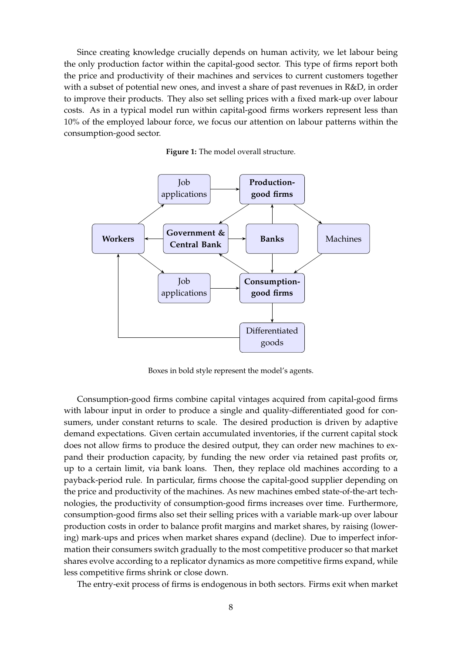Since creating knowledge crucially depends on human activity, we let labour being the only production factor within the capital-good sector. This type of firms report both the price and productivity of their machines and services to current customers together with a subset of potential new ones, and invest a share of past revenues in R&D, in order to improve their products. They also set selling prices with a fixed mark-up over labour costs. As in a typical model run within capital-good firms workers represent less than 10% of the employed labour force, we focus our attention on labour patterns within the consumption-good sector.





Boxes in bold style represent the model's agents.

Consumption-good firms combine capital vintages acquired from capital-good firms with labour input in order to produce a single and quality-differentiated good for consumers, under constant returns to scale. The desired production is driven by adaptive demand expectations. Given certain accumulated inventories, if the current capital stock does not allow firms to produce the desired output, they can order new machines to expand their production capacity, by funding the new order via retained past profits or, up to a certain limit, via bank loans. Then, they replace old machines according to a payback-period rule. In particular, firms choose the capital-good supplier depending on the price and productivity of the machines. As new machines embed state-of-the-art technologies, the productivity of consumption-good firms increases over time. Furthermore, consumption-good firms also set their selling prices with a variable mark-up over labour production costs in order to balance profit margins and market shares, by raising (lowering) mark-ups and prices when market shares expand (decline). Due to imperfect information their consumers switch gradually to the most competitive producer so that market shares evolve according to a replicator dynamics as more competitive firms expand, while less competitive firms shrink or close down.

The entry-exit process of firms is endogenous in both sectors. Firms exit when market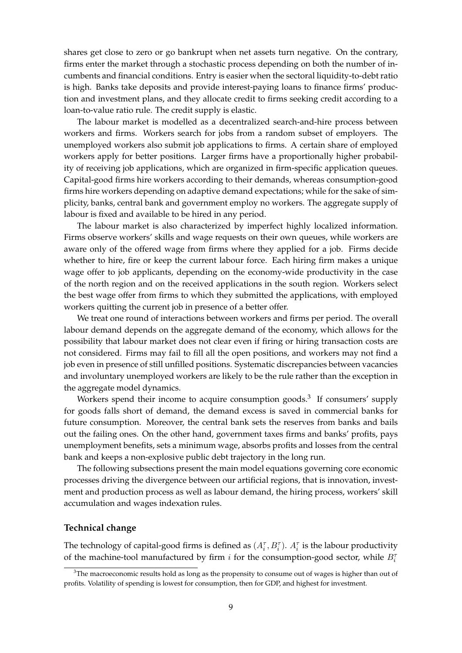shares get close to zero or go bankrupt when net assets turn negative. On the contrary, firms enter the market through a stochastic process depending on both the number of incumbents and financial conditions. Entry is easier when the sectoral liquidity-to-debt ratio is high. Banks take deposits and provide interest-paying loans to finance firms' production and investment plans, and they allocate credit to firms seeking credit according to a loan-to-value ratio rule. The credit supply is elastic.

The labour market is modelled as a decentralized search-and-hire process between workers and firms. Workers search for jobs from a random subset of employers. The unemployed workers also submit job applications to firms. A certain share of employed workers apply for better positions. Larger firms have a proportionally higher probability of receiving job applications, which are organized in firm-specific application queues. Capital-good firms hire workers according to their demands, whereas consumption-good firms hire workers depending on adaptive demand expectations; while for the sake of simplicity, banks, central bank and government employ no workers. The aggregate supply of labour is fixed and available to be hired in any period.

The labour market is also characterized by imperfect highly localized information. Firms observe workers' skills and wage requests on their own queues, while workers are aware only of the offered wage from firms where they applied for a job. Firms decide whether to hire, fire or keep the current labour force. Each hiring firm makes a unique wage offer to job applicants, depending on the economy-wide productivity in the case of the north region and on the received applications in the south region. Workers select the best wage offer from firms to which they submitted the applications, with employed workers quitting the current job in presence of a better offer.

We treat one round of interactions between workers and firms per period. The overall labour demand depends on the aggregate demand of the economy, which allows for the possibility that labour market does not clear even if firing or hiring transaction costs are not considered. Firms may fail to fill all the open positions, and workers may not find a job even in presence of still unfilled positions. Systematic discrepancies between vacancies and involuntary unemployed workers are likely to be the rule rather than the exception in the aggregate model dynamics.

Workers spend their income to acquire consumption goods.<sup>3</sup> If consumers' supply for goods falls short of demand, the demand excess is saved in commercial banks for future consumption. Moreover, the central bank sets the reserves from banks and bails out the failing ones. On the other hand, government taxes firms and banks' profits, pays unemployment benefits, sets a minimum wage, absorbs profits and losses from the central bank and keeps a non-explosive public debt trajectory in the long run.

The following subsections present the main model equations governing core economic processes driving the divergence between our artificial regions, that is innovation, investment and production process as well as labour demand, the hiring process, workers' skill accumulation and wages indexation rules.

#### **Technical change**

The technology of capital-good firms is defined as  $(A_i^{\tau}, B_i^{\tau})$ .  $A_i^{\tau}$  is the labour productivity of the machine-tool manufactured by firm  $i$  for the consumption-good sector, while  $B_i^{\dagger}$ 

<sup>&</sup>lt;sup>3</sup>The macroeconomic results hold as long as the propensity to consume out of wages is higher than out of profits. Volatility of spending is lowest for consumption, then for GDP, and highest for investment.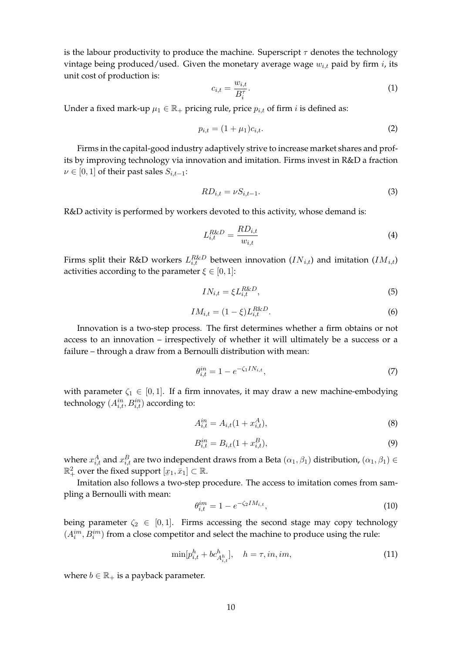is the labour productivity to produce the machine. Superscript  $\tau$  denotes the technology vintage being produced/used. Given the monetary average wage  $w_{i,t}$  paid by firm i, its unit cost of production is:

$$
c_{i,t} = \frac{w_{i,t}}{B_i^{\tau}}.\tag{1}
$$

Under a fixed mark-up  $\mu_1 \in \mathbb{R}_+$  pricing rule, price  $p_{i,t}$  of firm i is defined as:

$$
p_{i,t} = (1 + \mu_1)c_{i,t}.\tag{2}
$$

Firms in the capital-good industry adaptively strive to increase market shares and profits by improving technology via innovation and imitation. Firms invest in R&D a fraction  $\nu \in [0, 1]$  of their past sales  $S_{i,t-1}$ :

$$
RD_{i,t} = \nu S_{i,t-1}.\tag{3}
$$

R&D activity is performed by workers devoted to this activity, whose demand is:

$$
L_{i,t}^{R\&D} = \frac{RD_{i,t}}{w_{i,t}}\tag{4}
$$

Firms split their R&D workers  $L_{i,t}^{R\&D}$  between innovation  $(IN_{i,t})$  and imitation  $(IM_{i,t})$ activities according to the parameter  $\xi \in [0,1]$ :

$$
IN_{i,t} = \xi L_{i,t}^{R\&D},\tag{5}
$$

$$
IM_{i,t} = (1 - \xi)L_{i,t}^{R\&D}.
$$
 (6)

Innovation is a two-step process. The first determines whether a firm obtains or not access to an innovation – irrespectively of whether it will ultimately be a success or a failure – through a draw from a Bernoulli distribution with mean:

$$
\theta_{i,t}^{in} = 1 - e^{-\zeta_1 I N_{i,t}},\tag{7}
$$

with parameter  $\zeta_1 \in [0,1]$ . If a firm innovates, it may draw a new machine-embodying technology  $(A_{i,t}^{in}, B_{i,t}^{in})$  according to:

$$
A_{i,t}^{in} = A_{i,t}(1 + x_{i,t}^A),
$$
\n(8)

$$
B_{i,t}^{in} = B_{i,t}(1 + x_{i,t}^B),
$$
\n(9)

where  $x_{i,t}^A$  and  $x_{i,t}^B$  are two independent draws from a Beta  $(\alpha_1,\beta_1)$  distribution,  $(\alpha_1,\beta_1)\in$  $\mathbb{R}_+^2$  over the fixed support  $[x_1, \bar{x}_1] \subset \mathbb{R}$ .

¯ Imitation also follows a two-step procedure. The access to imitation comes from sampling a Bernoulli with mean:

$$
\theta_{i,t}^{im} = 1 - e^{-\zeta_2 I M_{i,t}},\tag{10}
$$

being parameter  $\zeta_2 \in [0, 1]$ . Firms accessing the second stage may copy technology  $(A_i^{im},B_i^{im})$  from a close competitor and select the machine to produce using the rule:

$$
\min[p_{i,t}^h + bc_{A_{i,t}^h}^h], \quad h = \tau, in, im,
$$
\n(11)

where  $b \in \mathbb{R}_+$  is a payback parameter.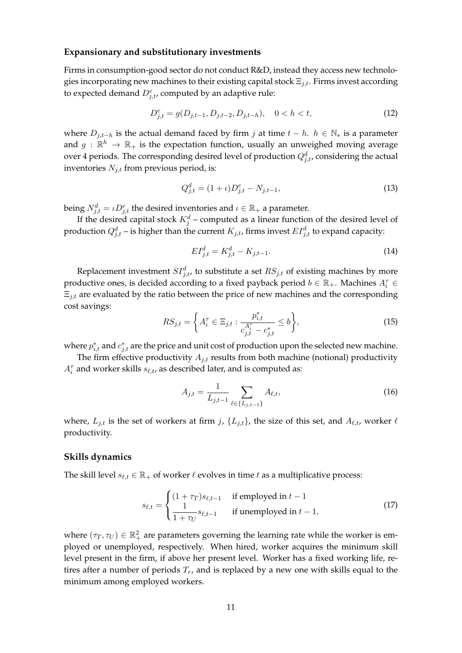#### **Expansionary and substitutionary investments**

Firms in consumption-good sector do not conduct R&D, instead they access new technologies incorporating new machines to their existing capital stock  $\Xi_{i,t}$ . Firms invest according to expected demand  $D_{j,t}^e$ , computed by an adaptive rule:

$$
D_{j,t}^e = g(D_{j,t-1}, D_{j,t-2}, D_{j,t-h}), \quad 0 < h < t,\tag{12}
$$

where  $D_{j,t-h}$  is the actual demand faced by firm j at time  $t - h$ .  $h \in \mathbb{N}<sub>*</sub>$  is a parameter and  $g: \mathbb{R}^h \to \mathbb{R}_+$  is the expectation function, usually an unweighed moving average over 4 periods. The corresponding desired level of production  $Q_{j,t}^d$ , considering the actual inventories  $N_{j,t}$  from previous period, is:

$$
Q_{j,t}^d = (1 + \iota)D_{j,t}^e - N_{j,t-1},\tag{13}
$$

being  $N_{j,t}^d = \iota D_{j,t}^e$  the desired inventories and  $\iota \in \mathbb{R}_+$  a parameter.

If the desired capital stock  $K_j^d$  – computed as a linear function of the desired level of production  $Q_{j,t}^d$  – is higher than the current  $K_{j,t}$ , firms invest  $EI_{j,t}^d$  to expand capacity:

$$
EI_{j,t}^d = K_{j,t}^d - K_{j,t-1}.
$$
\n(14)

Replacement investment  $SI_{j,t}^d$ , to substitute a set  $RS_{j,t}$  of existing machines by more productive ones, is decided according to a fixed payback period  $b \in \mathbb{R}_+$ . Machines  $A_i^{\tau} \in$  $\Xi_{j,t}$  are evaluated by the ratio between the price of new machines and the corresponding cost savings:

$$
RS_{j,t} = \left\{ A_i^{\tau} \in \Xi_{j,t} : \frac{p_{i,t}^*}{c_{j,t}^{A_i^{\tau}} - c_{j,t}^*} \le b \right\},\tag{15}
$$

where  $p_{i,t}^*$  and  $c_{j,t}^*$  are the price and unit cost of production upon the selected new machine.

The firm effective productivity  $A_{j,t}$  results from both machine (notional) productivity  $A_i^{\tau}$  and worker skills  $s_{\ell,t}$ , as described later, and is computed as:

$$
A_{j,t} = \frac{1}{L_{j,t-1}} \sum_{\ell \in \{L_{j,t-1}\}} A_{\ell,t},
$$
\n(16)

where,  $L_{j,t}$  is the set of workers at firm j,  $\{L_{j,t}\}$ , the size of this set, and  $A_{\ell,t}$ , worker  $\ell$ productivity.

#### **Skills dynamics**

The skill level  $s_{\ell,t} \in \mathbb{R}_+$  of worker  $\ell$  evolves in time t as a multiplicative process:

$$
s_{\ell,t} = \begin{cases} (1+\tau_T)s_{\ell,t-1} & \text{if employed in } t-1\\ \frac{1}{1+\tau_U}s_{\ell,t-1} & \text{if unemployed in } t-1, \end{cases}
$$
(17)

where  $(\tau_T, \tau_U) \in \mathbb{R}^2_+$  are parameters governing the learning rate while the worker is employed or unemployed, respectively. When hired, worker acquires the minimum skill level present in the firm, if above her present level. Worker has a fixed working life, retires after a number of periods  $T_r$ , and is replaced by a new one with skills equal to the minimum among employed workers.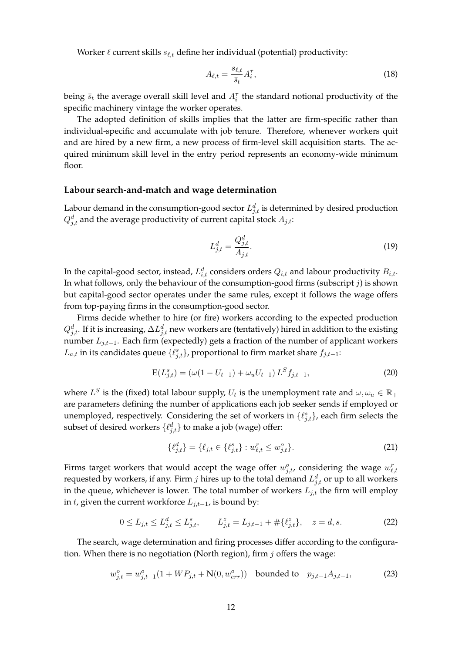Worker  $\ell$  current skills  $s_{\ell,t}$  define her individual (potential) productivity:

$$
A_{\ell,t} = \frac{s_{\ell,t}}{\bar{s}_t} A_i^{\tau},\tag{18}
$$

being  $\bar{s}_t$  the average overall skill level and  $A_i^{\tau}$  the standard notional productivity of the specific machinery vintage the worker operates.

The adopted definition of skills implies that the latter are firm-specific rather than individual-specific and accumulate with job tenure. Therefore, whenever workers quit and are hired by a new firm, a new process of firm-level skill acquisition starts. The acquired minimum skill level in the entry period represents an economy-wide minimum floor.

#### **Labour search-and-match and wage determination**

Labour demand in the consumption-good sector  $L^d_{j,t}$  is determined by desired production  $Q_{j,t}^d$  and the average productivity of current capital stock  $A_{j,t}$ :

$$
L_{j,t}^d = \frac{Q_{j,t}^d}{A_{j,t}}.\tag{19}
$$

In the capital-good sector, instead,  $L_{i,t}^{d}$  considers orders  $Q_{i,t}$  and labour productivity  $B_{i,t}.$ In what follows, only the behaviour of the consumption-good firms (subscript  $j$ ) is shown but capital-good sector operates under the same rules, except it follows the wage offers from top-paying firms in the consumption-good sector.

Firms decide whether to hire (or fire) workers according to the expected production  $Q_{j,t}^d.$  If it is increasing,  $\Delta L_{j,t}^d$  new workers are (tentatively) hired in addition to the existing number  $L_{j,t-1}$ . Each firm (expectedly) gets a fraction of the number of applicant workers  $L_{a,t}$  in its candidates queue  $\{\ell_{j,t}^s\}$ , proportional to firm market share  $f_{j,t-1}$ :

$$
E(L_{j,t}^s) = (\omega(1 - U_{t-1}) + \omega_u U_{t-1}) L^S f_{j,t-1},
$$
\n(20)

where  $L^S$  is the (fixed) total labour supply,  $U_t$  is the unemployment rate and  $\omega, \omega_u \in \mathbb{R}_+$ are parameters defining the number of applications each job seeker sends if employed or unemployed, respectively. Considering the set of workers in  $\{\ell_{j,t}^s\}$ , each firm selects the subset of desired workers  $\{\ell_{j,t}^d\}$  to make a job (wage) offer:

$$
\{\ell_{j,t}^d\} = \{\ell_{j,t} \in \{\ell_{j,t}^s\} : w_{\ell,t}^r \le w_{j,t}^o\}.
$$
\n(21)

Firms target workers that would accept the wage offer  $w_{j,t}^o$ , considering the wage  $w_{\ell,t}^r$ requested by workers, if any. Firm  $j$  hires up to the total demand  $L_{j,t}^d$  or up to all workers in the queue, whichever is lower. The total number of workers  $L_{j,t}$  the firm will employ in *t*, given the current workforce  $L_{j,t-1}$ , is bound by:

$$
0 \le L_{j,t} \le L_{j,t}^d \le L_{j,t}^s, \qquad L_{j,t}^z = L_{j,t-1} + \# \{\ell_{j,t}^z\}, \quad z = d, s. \tag{22}
$$

The search, wage determination and firing processes differ according to the configuration. When there is no negotiation (North region), firm  $j$  offers the wage:

$$
w_{j,t}^o = w_{j,t-1}^o(1 + WP_{j,t} + N(0, w_{err}^o)) \text{ bounded to } p_{j,t-1}A_{j,t-1},
$$
 (23)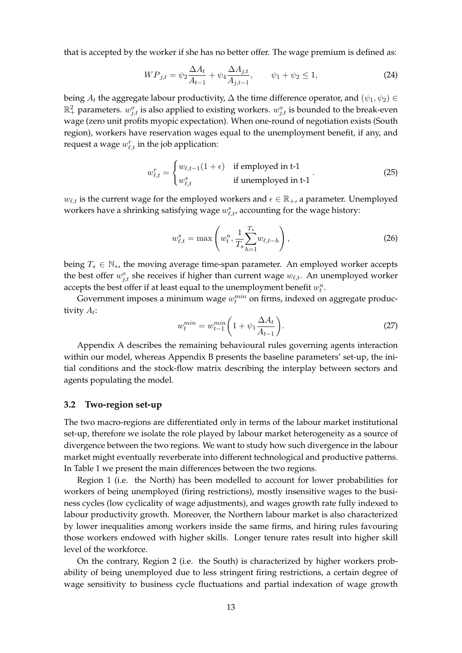that is accepted by the worker if she has no better offer. The wage premium is defined as:

$$
WP_{j,t} = \psi_2 \frac{\Delta A_t}{A_{t-1}} + \psi_4 \frac{\Delta A_{j,t}}{A_{j,t-1}}, \qquad \psi_1 + \psi_2 \le 1,
$$
\n(24)

being  $A_t$  the aggregate labour productivity,  $\Delta$  the time difference operator, and  $(\psi_1, \psi_2) \in$  $\mathbb{R}_+^2$  parameters.  $w_{j,t}^o$  is also applied to existing workers.  $w_{j,t}^o$  is bounded to the break-even wage (zero unit profits myopic expectation). When one-round of negotiation exists (South region), workers have reservation wages equal to the unemployment benefit, if any, and request a wage  $w_{\ell,t}^r$  in the job application:

$$
w_{\ell,t}^r = \begin{cases} w_{\ell,t-1}(1+\epsilon) & \text{if employed in t-1} \\ w_{\ell,t}^s & \text{if unemployed in t-1} \end{cases}
$$
 (25)

 $w_{\ell,t}$  is the current wage for the employed workers and  $\epsilon \in \mathbb{R}_+$ , a parameter. Unemployed workers have a shrinking satisfying wage  $w_{\ell,t}^s$ , accounting for the wage history:

$$
w_{\ell,t}^s = \max\left(w_t^u, \frac{1}{T_s} \sum_{h=1}^{T_s} w_{\ell,t-h}\right),
$$
 (26)

being  $T_s \in \mathbb{N}_{*}$ , the moving average time-span parameter. An employed worker accepts the best offer  $w_{j,t}^o$  she receives if higher than current wage  $w_{\ell,t}$ . An unemployed worker accepts the best offer if at least equal to the unemployment benefit  $w_t^u$ .

Government imposes a minimum wage  $w_t^{min}$  on firms, indexed on aggregate productivity  $A_t$ :

$$
w_t^{min} = w_{t-1}^{min} \left( 1 + \psi_1 \frac{\Delta A_t}{A_{t-1}} \right). \tag{27}
$$

Appendix A describes the remaining behavioural rules governing agents interaction within our model, whereas Appendix B presents the baseline parameters' set-up, the initial conditions and the stock-flow matrix describing the interplay between sectors and agents populating the model.

#### **3.2 Two-region set-up**

The two macro-regions are differentiated only in terms of the labour market institutional set-up, therefore we isolate the role played by labour market heterogeneity as a source of divergence between the two regions. We want to study how such divergence in the labour market might eventually reverberate into different technological and productive patterns. In Table 1 we present the main differences between the two regions.

Region 1 (i.e. the North) has been modelled to account for lower probabilities for workers of being unemployed (firing restrictions), mostly insensitive wages to the business cycles (low cyclicality of wage adjustments), and wages growth rate fully indexed to labour productivity growth. Moreover, the Northern labour market is also characterized by lower inequalities among workers inside the same firms, and hiring rules favouring those workers endowed with higher skills. Longer tenure rates result into higher skill level of the workforce.

On the contrary, Region 2 (i.e. the South) is characterized by higher workers probability of being unemployed due to less stringent firing restrictions, a certain degree of wage sensitivity to business cycle fluctuations and partial indexation of wage growth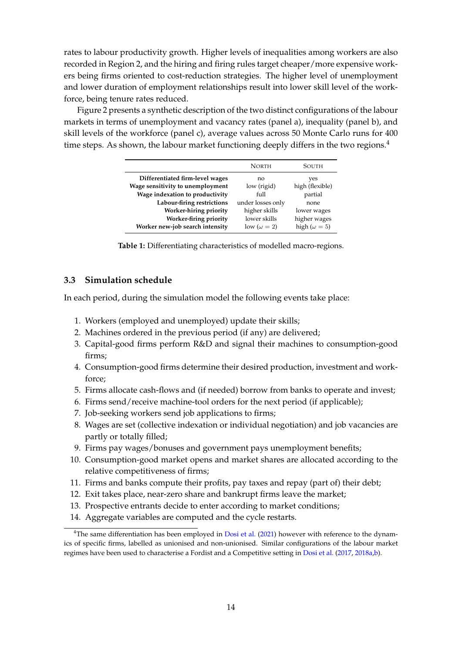rates to labour productivity growth. Higher levels of inequalities among workers are also recorded in Region 2, and the hiring and firing rules target cheaper/more expensive workers being firms oriented to cost-reduction strategies. The higher level of unemployment and lower duration of employment relationships result into lower skill level of the workforce, being tenure rates reduced.

Figure 2 presents a synthetic description of the two distinct configurations of the labour markets in terms of unemployment and vacancy rates (panel a), inequality (panel b), and skill levels of the workforce (panel c), average values across 50 Monte Carlo runs for 400 time steps. As shown, the labour market functioning deeply differs in the two regions. $4$ 

|                                  | <b>NORTH</b>       | SOUTH                 |
|----------------------------------|--------------------|-----------------------|
| Differentiated firm-level wages  | no                 | yes                   |
| Wage sensitivity to unemployment | low (rigid)        | high (flexible)       |
| Wage indexation to productivity  | full               | partial               |
| Labour-firing restrictions       | under losses only  | none                  |
| Worker-hiring priority           | higher skills      | lower wages           |
| Worker-firing priority           | lower skills       | higher wages          |
| Worker new-job search intensity  | low $(\omega = 2)$ | high ( $\omega = 5$ ) |

**Table 1:** Differentiating characteristics of modelled macro-regions.

#### **3.3 Simulation schedule**

In each period, during the simulation model the following events take place:

- 1. Workers (employed and unemployed) update their skills;
- 2. Machines ordered in the previous period (if any) are delivered;
- 3. Capital-good firms perform R&D and signal their machines to consumption-good firms;
- 4. Consumption-good firms determine their desired production, investment and workforce;
- 5. Firms allocate cash-flows and (if needed) borrow from banks to operate and invest;
- 6. Firms send/receive machine-tool orders for the next period (if applicable);
- 7. Job-seeking workers send job applications to firms;
- 8. Wages are set (collective indexation or individual negotiation) and job vacancies are partly or totally filled;
- 9. Firms pay wages/bonuses and government pays unemployment benefits;
- 10. Consumption-good market opens and market shares are allocated according to the relative competitiveness of firms;
- 11. Firms and banks compute their profits, pay taxes and repay (part of) their debt;
- 12. Exit takes place, near-zero share and bankrupt firms leave the market;
- 13. Prospective entrants decide to enter according to market conditions;
- 14. Aggregate variables are computed and the cycle restarts.

<sup>&</sup>lt;sup>4</sup>The same differentiation has been employed in Dosi et al. (2021) however with reference to the dynamics of specific firms, labelled as unionised and non-unionised. Similar configurations of the labour market regimes have been used to characterise a Fordist and a Competitive setting in Dosi et al. (2017, 2018a,b).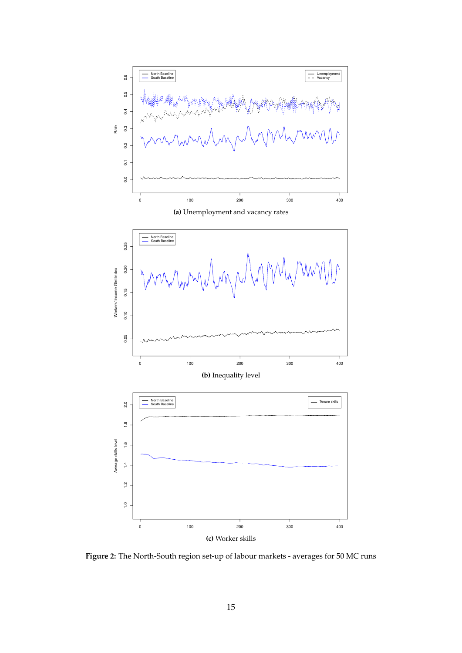

**Figure 2:** The North-South region set-up of labour markets - averages for 50 MC runs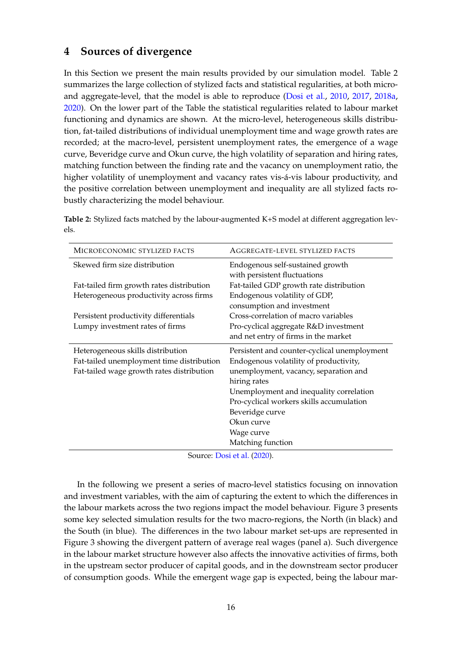# **4 Sources of divergence**

In this Section we present the main results provided by our simulation model. Table 2 summarizes the large collection of stylized facts and statistical regularities, at both microand aggregate-level, that the model is able to reproduce (Dosi et al., 2010, 2017, 2018a, 2020). On the lower part of the Table the statistical regularities related to labour market functioning and dynamics are shown. At the micro-level, heterogeneous skills distribution, fat-tailed distributions of individual unemployment time and wage growth rates are recorded; at the macro-level, persistent unemployment rates, the emergence of a wage curve, Beveridge curve and Okun curve, the high volatility of separation and hiring rates, matching function between the finding rate and the vacancy on unemployment ratio, the higher volatility of unemployment and vacancy rates vis-á-vis labour productivity, and the positive correlation between unemployment and inequality are all stylized facts robustly characterizing the model behaviour.

**Table 2:** Stylized facts matched by the labour-augmented K+S model at different aggregation levels.

| MICROECONOMIC STYLIZED FACTS              | AGGREGATE-LEVEL STYLIZED FACTS                                   |
|-------------------------------------------|------------------------------------------------------------------|
| Skewed firm size distribution             | Endogenous self-sustained growth<br>with persistent fluctuations |
| Fat-tailed firm growth rates distribution | Fat-tailed GDP growth rate distribution                          |
| Heterogeneous productivity across firms   | Endogenous volatility of GDP,                                    |
|                                           | consumption and investment                                       |
| Persistent productivity differentials     | Cross-correlation of macro variables                             |
| Lumpy investment rates of firms           | Pro-cyclical aggregate R&D investment                            |
|                                           | and net entry of firms in the market                             |
| Heterogeneous skills distribution         | Persistent and counter-cyclical unemployment                     |
| Fat-tailed unemployment time distribution | Endogenous volatility of productivity,                           |
| Fat-tailed wage growth rates distribution | unemployment, vacancy, separation and                            |
|                                           | hiring rates                                                     |
|                                           | Unemployment and inequality correlation                          |
|                                           | Pro-cyclical workers skills accumulation                         |
|                                           | Beveridge curve                                                  |
|                                           | Okun curve                                                       |
|                                           | Wage curve                                                       |
|                                           | Matching function                                                |

Source: Dosi et al. (2020).

In the following we present a series of macro-level statistics focusing on innovation and investment variables, with the aim of capturing the extent to which the differences in the labour markets across the two regions impact the model behaviour. Figure 3 presents some key selected simulation results for the two macro-regions, the North (in black) and the South (in blue). The differences in the two labour market set-ups are represented in Figure 3 showing the divergent pattern of average real wages (panel a). Such divergence in the labour market structure however also affects the innovative activities of firms, both in the upstream sector producer of capital goods, and in the downstream sector producer of consumption goods. While the emergent wage gap is expected, being the labour mar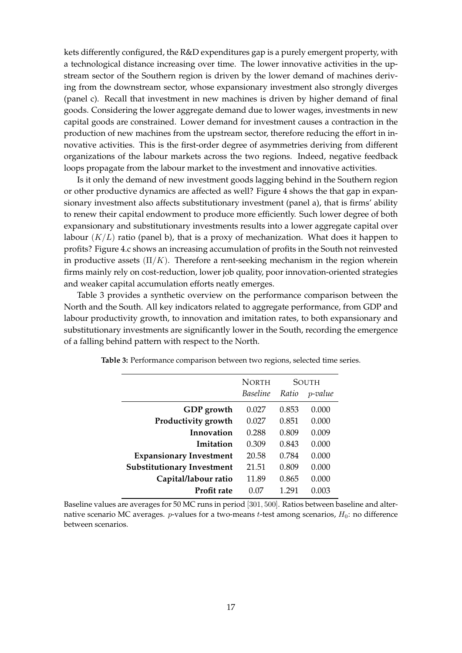kets differently configured, the R&D expenditures gap is a purely emergent property, with a technological distance increasing over time. The lower innovative activities in the upstream sector of the Southern region is driven by the lower demand of machines deriving from the downstream sector, whose expansionary investment also strongly diverges (panel c). Recall that investment in new machines is driven by higher demand of final goods. Considering the lower aggregate demand due to lower wages, investments in new capital goods are constrained. Lower demand for investment causes a contraction in the production of new machines from the upstream sector, therefore reducing the effort in innovative activities. This is the first-order degree of asymmetries deriving from different organizations of the labour markets across the two regions. Indeed, negative feedback loops propagate from the labour market to the investment and innovative activities.

Is it only the demand of new investment goods lagging behind in the Southern region or other productive dynamics are affected as well? Figure 4 shows the that gap in expansionary investment also affects substitutionary investment (panel a), that is firms' ability to renew their capital endowment to produce more efficiently. Such lower degree of both expansionary and substitutionary investments results into a lower aggregate capital over labour  $(K/L)$  ratio (panel b), that is a proxy of mechanization. What does it happen to profits? Figure 4.c shows an increasing accumulation of profits in the South not reinvested in productive assets  $(\Pi/K)$ . Therefore a rent-seeking mechanism in the region wherein firms mainly rely on cost-reduction, lower job quality, poor innovation-oriented strategies and weaker capital accumulation efforts neatly emerges.

Table 3 provides a synthetic overview on the performance comparison between the North and the South. All key indicators related to aggregate performance, from GDP and labour productivity growth, to innovation and imitation rates, to both expansionary and substitutionary investments are significantly lower in the South, recording the emergence of a falling behind pattern with respect to the North.

|                                   | <b>NORTH</b>    |       | SOUTH   |
|-----------------------------------|-----------------|-------|---------|
|                                   | <b>Baseline</b> | Ratio | p-value |
| GDP growth                        | 0.027           | 0.853 | 0.000   |
| Productivity growth               | 0.027           | 0.851 | 0.000   |
| Innovation                        | 0.288           | 0.809 | 0.009   |
| Imitation                         | 0.309           | 0.843 | 0.000   |
| <b>Expansionary Investment</b>    | 20.58           | 0.784 | 0.000   |
| <b>Substitutionary Investment</b> | 21.51           | 0.809 | 0.000   |
| Capital/labour ratio              | 11.89           | 0.865 | 0.000   |
| Profit rate                       | 0.07            | 1 291 | 0.003   |

**Table 3:** Performance comparison between two regions, selected time series.

Baseline values are averages for 50 MC runs in period [301, 500]. Ratios between baseline and alternative scenario MC averages. *p*-values for a two-means *t*-test among scenarios,  $H_0$ : no difference between scenarios.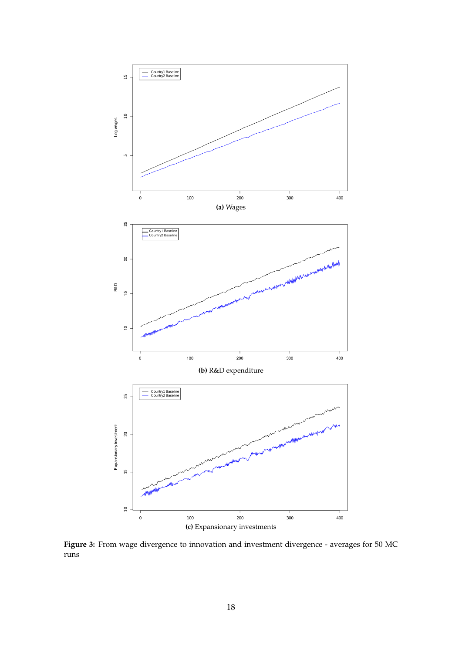

Figure 3: From wage divergence to innovation and investment divergence - averages for 50 MC runs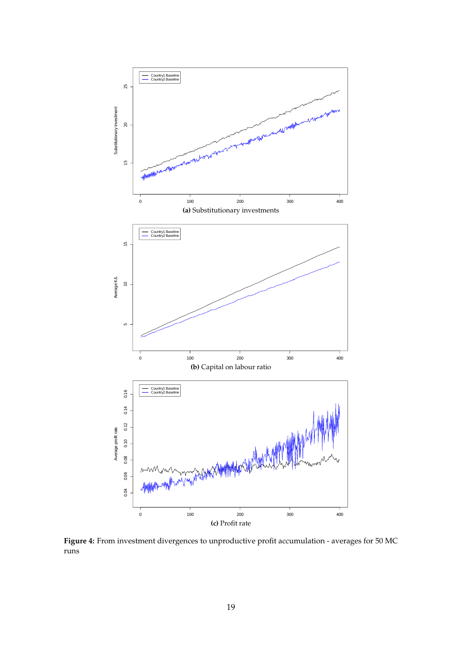

**Figure 4:** From investment divergences to unproductive profit accumulation - averages for 50 MC runs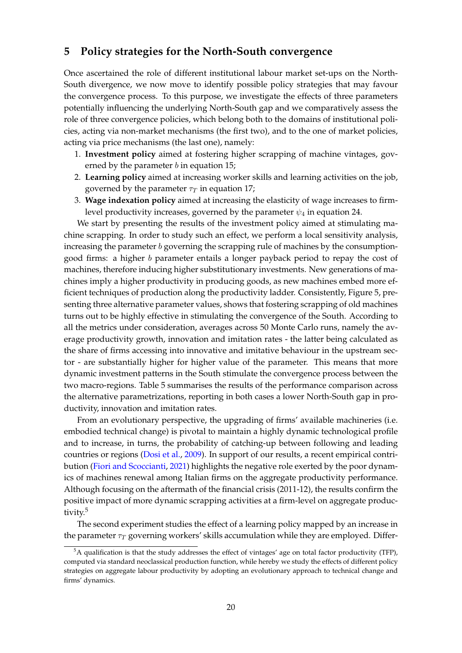## **5 Policy strategies for the North-South convergence**

Once ascertained the role of different institutional labour market set-ups on the North-South divergence, we now move to identify possible policy strategies that may favour the convergence process. To this purpose, we investigate the effects of three parameters potentially influencing the underlying North-South gap and we comparatively assess the role of three convergence policies, which belong both to the domains of institutional policies, acting via non-market mechanisms (the first two), and to the one of market policies, acting via price mechanisms (the last one), namely:

- 1. **Investment policy** aimed at fostering higher scrapping of machine vintages, governed by the parameter  $b$  in equation 15;
- 2. **Learning policy** aimed at increasing worker skills and learning activities on the job, governed by the parameter  $\tau$  in equation 17;
- 3. **Wage indexation policy** aimed at increasing the elasticity of wage increases to firmlevel productivity increases, governed by the parameter  $\psi_4$  in equation 24.

We start by presenting the results of the investment policy aimed at stimulating machine scrapping. In order to study such an effect, we perform a local sensitivity analysis, increasing the parameter  $b$  governing the scrapping rule of machines by the consumptiongood firms: a higher b parameter entails a longer payback period to repay the cost of machines, therefore inducing higher substitutionary investments. New generations of machines imply a higher productivity in producing goods, as new machines embed more efficient techniques of production along the productivity ladder. Consistently, Figure 5, presenting three alternative parameter values, shows that fostering scrapping of old machines turns out to be highly effective in stimulating the convergence of the South. According to all the metrics under consideration, averages across 50 Monte Carlo runs, namely the average productivity growth, innovation and imitation rates - the latter being calculated as the share of firms accessing into innovative and imitative behaviour in the upstream sector - are substantially higher for higher value of the parameter. This means that more dynamic investment patterns in the South stimulate the convergence process between the two macro-regions. Table 5 summarises the results of the performance comparison across the alternative parametrizations, reporting in both cases a lower North-South gap in productivity, innovation and imitation rates.

From an evolutionary perspective, the upgrading of firms' available machineries (i.e. embodied technical change) is pivotal to maintain a highly dynamic technological profile and to increase, in turns, the probability of catching-up between following and leading countries or regions (Dosi et al., 2009). In support of our results, a recent empirical contribution (Fiori and Scoccianti, 2021) highlights the negative role exerted by the poor dynamics of machines renewal among Italian firms on the aggregate productivity performance. Although focusing on the aftermath of the financial crisis (2011-12), the results confirm the positive impact of more dynamic scrapping activities at a firm-level on aggregate productivity.<sup>5</sup>

The second experiment studies the effect of a learning policy mapped by an increase in the parameter  $\tau_T$  governing workers' skills accumulation while they are employed. Differ-

 $5A$  qualification is that the study addresses the effect of vintages' age on total factor productivity (TFP), computed via standard neoclassical production function, while hereby we study the effects of different policy strategies on aggregate labour productivity by adopting an evolutionary approach to technical change and firms' dynamics.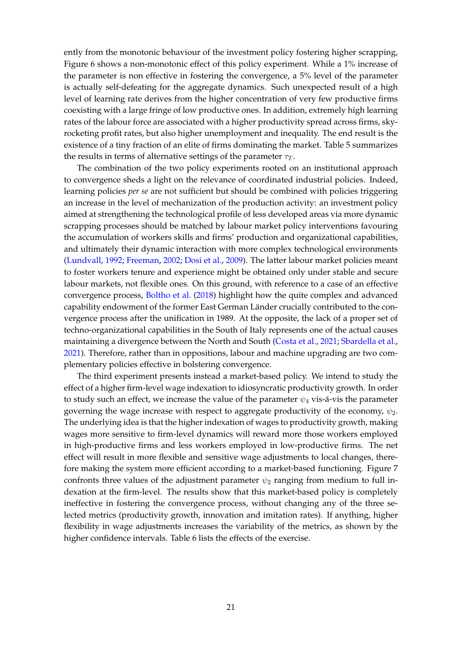ently from the monotonic behaviour of the investment policy fostering higher scrapping, Figure 6 shows a non-monotonic effect of this policy experiment. While a 1% increase of the parameter is non effective in fostering the convergence, a 5% level of the parameter is actually self-defeating for the aggregate dynamics. Such unexpected result of a high level of learning rate derives from the higher concentration of very few productive firms coexisting with a large fringe of low productive ones. In addition, extremely high learning rates of the labour force are associated with a higher productivity spread across firms, skyrocketing profit rates, but also higher unemployment and inequality. The end result is the existence of a tiny fraction of an elite of firms dominating the market. Table 5 summarizes the results in terms of alternative settings of the parameter  $\tau_T$ .

The combination of the two policy experiments rooted on an institutional approach to convergence sheds a light on the relevance of coordinated industrial policies. Indeed, learning policies *per se* are not sufficient but should be combined with policies triggering an increase in the level of mechanization of the production activity: an investment policy aimed at strengthening the technological profile of less developed areas via more dynamic scrapping processes should be matched by labour market policy interventions favouring the accumulation of workers skills and firms' production and organizational capabilities, and ultimately their dynamic interaction with more complex technological environments (Lundvall, 1992; Freeman, 2002; Dosi et al., 2009). The latter labour market policies meant to foster workers tenure and experience might be obtained only under stable and secure labour markets, not flexible ones. On this ground, with reference to a case of an effective convergence process, Boltho et al. (2018) highlight how the quite complex and advanced capability endowment of the former East German Länder crucially contributed to the convergence process after the unification in 1989. At the opposite, the lack of a proper set of techno-organizational capabilities in the South of Italy represents one of the actual causes maintaining a divergence between the North and South (Costa et al., 2021; Sbardella et al., 2021). Therefore, rather than in oppositions, labour and machine upgrading are two complementary policies effective in bolstering convergence.

The third experiment presents instead a market-based policy. We intend to study the effect of a higher firm-level wage indexation to idiosyncratic productivity growth. In order to study such an effect, we increase the value of the parameter  $\psi_4$  vis-á-vis the parameter governing the wage increase with respect to aggregate productivity of the economy,  $\psi_2$ . The underlying idea is that the higher indexation of wages to productivity growth, making wages more sensitive to firm-level dynamics will reward more those workers employed in high-productive firms and less workers employed in low-productive firms. The net effect will result in more flexible and sensitive wage adjustments to local changes, therefore making the system more efficient according to a market-based functioning. Figure 7 confronts three values of the adjustment parameter  $\psi_2$  ranging from medium to full indexation at the firm-level. The results show that this market-based policy is completely ineffective in fostering the convergence process, without changing any of the three selected metrics (productivity growth, innovation and imitation rates). If anything, higher flexibility in wage adjustments increases the variability of the metrics, as shown by the higher confidence intervals. Table 6 lists the effects of the exercise.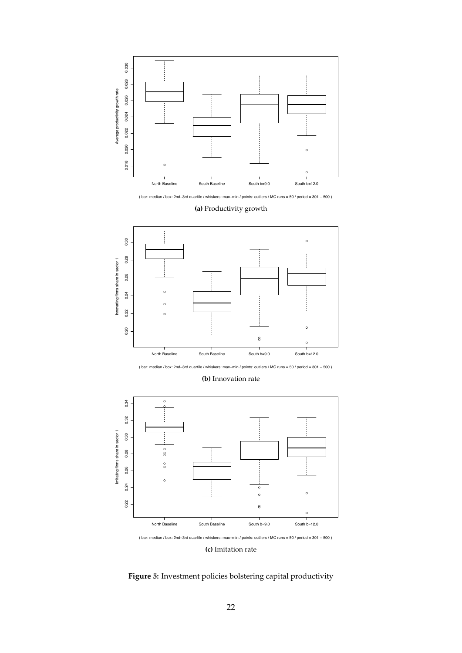

( bar: median / box: 2nd–3rd quartile / whiskers: max–min / points: outliers / MC runs = 50 / period = 301 − 500 )





(bar: median / box: 2nd-3rd quartile / whiskers: max-min / points: outliers / MC runs = 50 / period = 301 - 500)

**(b)** Innovation rate



**(c)** Imitation rate

**Figure 5:** Investment policies bolstering capital productivity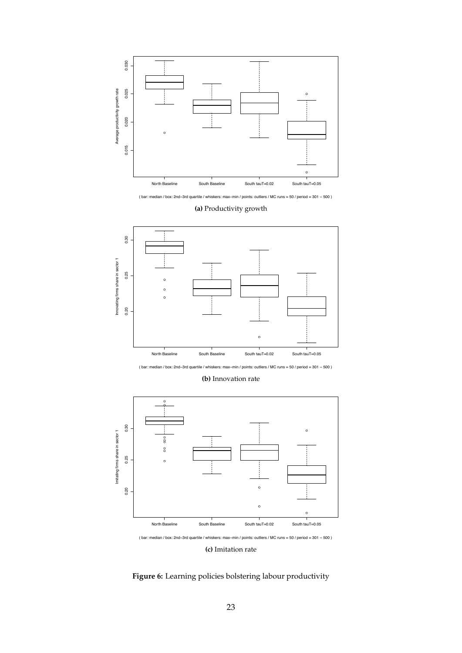

( bar: median / box: 2nd–3rd quartile / whiskers: max–min / points: outliers / MC runs = 50 / period = 301 − 500 )





(bar: median / box: 2nd-3rd quartile / whiskers: max-min / points: outliers / MC runs = 50 / period = 301 - 500)

**(b)** Innovation rate



**(c)** Imitation rate

**Figure 6:** Learning policies bolstering labour productivity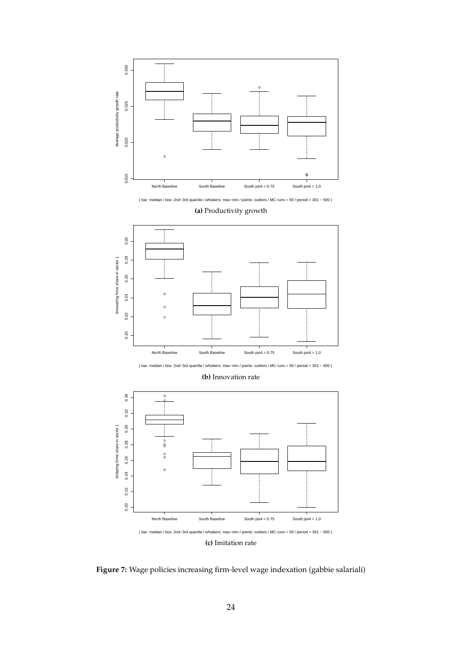

( bar: median / box: 2nd−3rd quartile / whiskers: max−min / points: outliers / MC runs = 50 / period = 301 − 500 )



**(a)** Productivity growth

( bar: median / box: 2nd−3rd quartile / whiskers: max−min / points: outliers / MC runs = 50 / period = 301 − 500 )

**(b)** Innovation rate



**(c)** Imitation rate

**Figure 7:** Wage policies increasing firm-level wage indexation (gabbie salariali)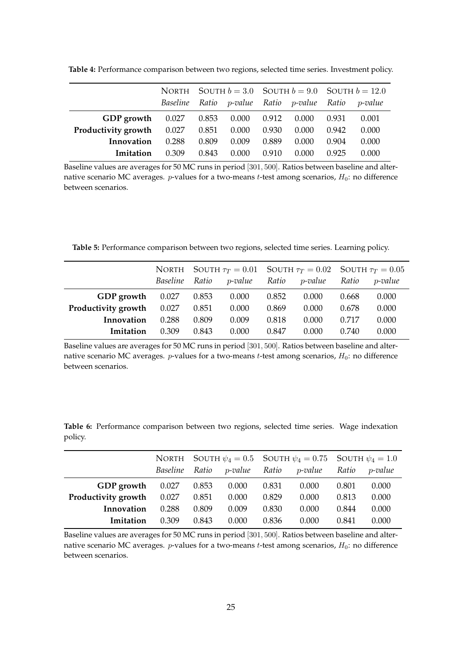|                                            |          |       |                                                          |       |       |       | NORTH SOUTH $b = 3.0$ SOUTH $b = 9.0$ SOUTH $b = 12.0$ |
|--------------------------------------------|----------|-------|----------------------------------------------------------|-------|-------|-------|--------------------------------------------------------|
|                                            | Baseline | Ratio | <i>p-value</i> Ratio <i>p-value</i> Ratio <i>p-value</i> |       |       |       |                                                        |
| GDP growth $0.027$ $0.853$ $0.000$ $0.912$ |          |       |                                                          |       | 0.000 | 0.931 | 0.001                                                  |
| <b>Productivity growth</b> 0.027           |          | 0.851 | 0.000                                                    | 0.930 | 0.000 | 0.942 | 0.000                                                  |
| Innovation                                 | 0.288    | 0.809 | 0.009                                                    | 0.889 | 0.000 | 0.904 | 0.000                                                  |
| Imitation                                  | 0.309    | 0.843 | 0.000                                                    | 0.910 | 0.000 | 0.925 | 0.000                                                  |

**Table 4:** Performance comparison between two regions, selected time series. Investment policy.

Baseline values are averages for 50 MC runs in period [301, 500]. Ratios between baseline and alternative scenario MC averages.  $p$ -values for a two-means  $t$ -test among scenarios,  $H_0$ : no difference between scenarios.

**Table 5:** Performance comparison between two regions, selected time series. Learning policy.

|                     |          |       | NORTH SOUTH $\tau_T = 0.01$ SOUTH $\tau_T = 0.02$ SOUTH $\tau_T = 0.05$ |       |         |       |            |
|---------------------|----------|-------|-------------------------------------------------------------------------|-------|---------|-------|------------|
|                     | Baseline | Ratio | p-value                                                                 | Ratio | p-value | Ratio | $p$ -value |
| GDP growth          | 0.027    | 0.853 | 0.000                                                                   | 0.852 | 0.000   | 0.668 | 0.000      |
| Productivity growth | 0.027    | 0.851 | 0.000                                                                   | 0.869 | 0.000   | 0.678 | 0.000      |
| Innovation          | 0.288    | 0.809 | 0.009                                                                   | 0.818 | 0.000   | 0.717 | 0.000      |
| Imitation           | 0.309    | 0.843 | 0.000                                                                   | 0.847 | 0.000   | 0.740 | 0.000      |

Baseline values are averages for 50 MC runs in period [301, 500]. Ratios between baseline and alternative scenario MC averages.  $p$ -values for a two-means  $t$ -test among scenarios,  $H_0$ : no difference between scenarios.

**Table 6:** Performance comparison between two regions, selected time series. Wage indexation policy.

|                                  | <b>NORTH</b> |       |         |       | SOUTH $\psi_4 = 0.5$ SOUTH $\psi_4 = 0.75$ SOUTH $\psi_4 = 1.0$ |       |            |
|----------------------------------|--------------|-------|---------|-------|-----------------------------------------------------------------|-------|------------|
|                                  | Baseline     | Ratio | p-value | Ratio | p-value                                                         | Ratio | $p$ -value |
| GDP growth                       | 0.027        | 0.853 | 0.000   | 0.831 | 0.000                                                           | 0.801 | 0.000      |
| <b>Productivity growth</b> 0.027 |              | 0.851 | 0.000   | 0.829 | 0.000                                                           | 0.813 | 0.000      |
| Innovation                       | 0.288        | 0.809 | 0.009   | 0.830 | 0.000                                                           | 0.844 | 0.000      |
| Imitation                        | 0.309        | 0.843 | 0.000   | 0.836 | 0.000                                                           | 0.841 | 0.000      |

Baseline values are averages for 50 MC runs in period [301, 500]. Ratios between baseline and alternative scenario MC averages.  $p$ -values for a two-means  $t$ -test among scenarios,  $H_0$ : no difference between scenarios.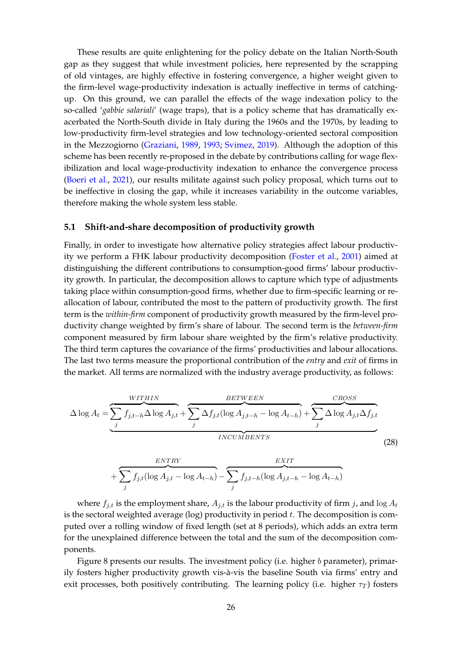These results are quite enlightening for the policy debate on the Italian North-South gap as they suggest that while investment policies, here represented by the scrapping of old vintages, are highly effective in fostering convergence, a higher weight given to the firm-level wage-productivity indexation is actually ineffective in terms of catchingup. On this ground, we can parallel the effects of the wage indexation policy to the so-called '*gabbie salariali*' (wage traps), that is a policy scheme that has dramatically exacerbated the North-South divide in Italy during the 1960s and the 1970s, by leading to low-productivity firm-level strategies and low technology-oriented sectoral composition in the Mezzogiorno (Graziani, 1989, 1993; Svimez, 2019). Although the adoption of this scheme has been recently re-proposed in the debate by contributions calling for wage flexibilization and local wage-productivity indexation to enhance the convergence process (Boeri et al., 2021), our results militate against such policy proposal, which turns out to be ineffective in closing the gap, while it increases variability in the outcome variables, therefore making the whole system less stable.

#### **5.1 Shift-and-share decomposition of productivity growth**

Finally, in order to investigate how alternative policy strategies affect labour productivity we perform a FHK labour productivity decomposition (Foster et al., 2001) aimed at distinguishing the different contributions to consumption-good firms' labour productivity growth. In particular, the decomposition allows to capture which type of adjustments taking place within consumption-good firms, whether due to firm-specific learning or reallocation of labour, contributed the most to the pattern of productivity growth. The first term is the *within-firm* component of productivity growth measured by the firm-level productivity change weighted by firm's share of labour. The second term is the *between-firm* component measured by firm labour share weighted by the firm's relative productivity. The third term captures the covariance of the firms' productivities and labour allocations. The last two terms measure the proportional contribution of the *entry* and *exit* of firms in the market. All terms are normalized with the industry average productivity, as follows:

$$
\Delta \log A_t = \underbrace{\sum_{j} f_{j,t-h} \Delta \log A_{j,t}}_{INCUMBENTS} + \underbrace{\sum_{j} \Delta f_{j,t} (\log A_{j,t-h} - \log A_{t-h})}_{INCUMBENTS} + \underbrace{\sum_{j} \Delta \log A_{j,t} \Delta f_{j,t}}_{INCUMBENTS}
$$
(28)

$$
+\underbrace{\sum_{j}f_{j,t}(\log A_{j,t}-\log A_{t-h})}_{j}-\underbrace{\sum_{j}f_{j,t-h}(\log A_{j,t-h}-\log A_{t-h})}_{j}
$$

where  $f_{j,t}$  is the employment share,  $A_{j,t}$  is the labour productivity of firm j, and log  $A_t$ is the sectoral weighted average ( $log$ ) productivity in period  $t$ . The decomposition is computed over a rolling window of fixed length (set at 8 periods), which adds an extra term for the unexplained difference between the total and the sum of the decomposition components.

Figure 8 presents our results. The investment policy (i.e. higher b parameter), primarily fosters higher productivity growth vis-à-vis the baseline South via firms' entry and exit processes, both positively contributing. The learning policy (i.e. higher  $\tau_T$ ) fosters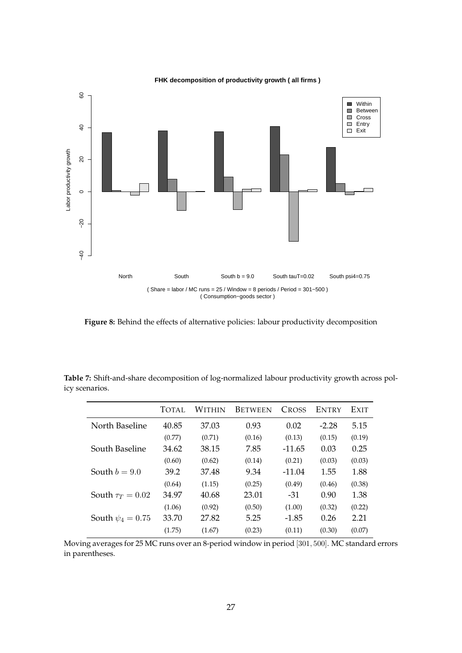

**FHK decomposition of productivity growth ( all firms )**

**Figure 8:** Behind the effects of alternative policies: labour productivity decomposition

| Table 7: Shift-and-share decomposition of log-normalized labour productivity growth across pol- |  |
|-------------------------------------------------------------------------------------------------|--|
| icy scenarios.                                                                                  |  |

|                       | TOTAL. | <b>WITHIN</b> | <b>BETWEEN</b> | <b>CROSS</b> | ENTRY   | EXIT   |
|-----------------------|--------|---------------|----------------|--------------|---------|--------|
| North Baseline        | 40.85  | 37.03         | 0.93           | 0.02         | $-2.28$ | 5.15   |
|                       | (0.77) | (0.71)        | (0.16)         | (0.13)       | (0.15)  | (0.19) |
| South Baseline        | 34.62  | 38.15         | 7.85           | $-11.65$     | 0.03    | 0.25   |
|                       | (0.60) | (0.62)        | (0.14)         | (0.21)       | (0.03)  | (0.03) |
| South $b = 9.0$       | 39.2   | 37.48         | 9.34           | $-11.04$     | 1.55    | 1.88   |
|                       | (0.64) | (1.15)        | (0.25)         | (0.49)       | (0.46)  | (0.38) |
| South $\tau_T = 0.02$ | 34.97  | 40.68         | 23.01          | $-31$        | 0.90    | 1.38   |
|                       | (1.06) | (0.92)        | (0.50)         | (1.00)       | (0.32)  | (0.22) |
| South $\psi_4 = 0.75$ | 33.70  | 27.82         | 5.25           | $-1.85$      | 0.26    | 2.21   |
|                       | (1.75) | (1.67)        | (0.23)         | (0.11)       | (0.30)  | (0.07) |

Moving averages for 25 MC runs over an 8-period window in period [301, 500]. MC standard errors in parentheses.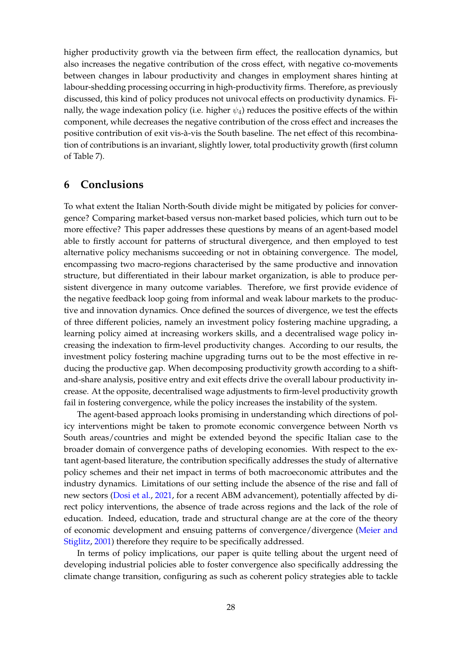higher productivity growth via the between firm effect, the reallocation dynamics, but also increases the negative contribution of the cross effect, with negative co-movements between changes in labour productivity and changes in employment shares hinting at labour-shedding processing occurring in high-productivity firms. Therefore, as previously discussed, this kind of policy produces not univocal effects on productivity dynamics. Finally, the wage indexation policy (i.e. higher  $\psi_4$ ) reduces the positive effects of the within component, while decreases the negative contribution of the cross effect and increases the positive contribution of exit vis-à-vis the South baseline. The net effect of this recombination of contributions is an invariant, slightly lower, total productivity growth (first column of Table 7).

# **6 Conclusions**

To what extent the Italian North-South divide might be mitigated by policies for convergence? Comparing market-based versus non-market based policies, which turn out to be more effective? This paper addresses these questions by means of an agent-based model able to firstly account for patterns of structural divergence, and then employed to test alternative policy mechanisms succeeding or not in obtaining convergence. The model, encompassing two macro-regions characterised by the same productive and innovation structure, but differentiated in their labour market organization, is able to produce persistent divergence in many outcome variables. Therefore, we first provide evidence of the negative feedback loop going from informal and weak labour markets to the productive and innovation dynamics. Once defined the sources of divergence, we test the effects of three different policies, namely an investment policy fostering machine upgrading, a learning policy aimed at increasing workers skills, and a decentralised wage policy increasing the indexation to firm-level productivity changes. According to our results, the investment policy fostering machine upgrading turns out to be the most effective in reducing the productive gap. When decomposing productivity growth according to a shiftand-share analysis, positive entry and exit effects drive the overall labour productivity increase. At the opposite, decentralised wage adjustments to firm-level productivity growth fail in fostering convergence, while the policy increases the instability of the system.

The agent-based approach looks promising in understanding which directions of policy interventions might be taken to promote economic convergence between North vs South areas/countries and might be extended beyond the specific Italian case to the broader domain of convergence paths of developing economies. With respect to the extant agent-based literature, the contribution specifically addresses the study of alternative policy schemes and their net impact in terms of both macroeconomic attributes and the industry dynamics. Limitations of our setting include the absence of the rise and fall of new sectors (Dosi et al., 2021, for a recent ABM advancement), potentially affected by direct policy interventions, the absence of trade across regions and the lack of the role of education. Indeed, education, trade and structural change are at the core of the theory of economic development and ensuing patterns of convergence/divergence (Meier and Stiglitz, 2001) therefore they require to be specifically addressed.

In terms of policy implications, our paper is quite telling about the urgent need of developing industrial policies able to foster convergence also specifically addressing the climate change transition, configuring as such as coherent policy strategies able to tackle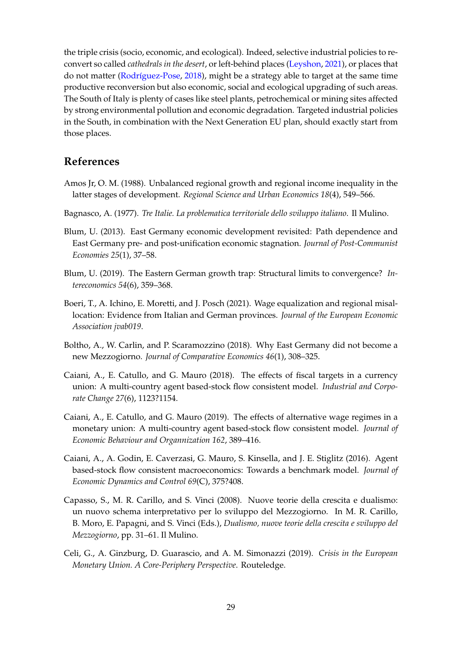the triple crisis (socio, economic, and ecological). Indeed, selective industrial policies to reconvert so called *cathedrals in the desert*, or left-behind places (Leyshon, 2021), or places that do not matter (Rodríguez-Pose, 2018), might be a strategy able to target at the same time productive reconversion but also economic, social and ecological upgrading of such areas. The South of Italy is plenty of cases like steel plants, petrochemical or mining sites affected by strong environmental pollution and economic degradation. Targeted industrial policies in the South, in combination with the Next Generation EU plan, should exactly start from those places.

# **References**

- Amos Jr, O. M. (1988). Unbalanced regional growth and regional income inequality in the latter stages of development. *Regional Science and Urban Economics 18*(4), 549–566.
- Bagnasco, A. (1977). *Tre Italie. La problematica territoriale dello sviluppo italiano*. Il Mulino.
- Blum, U. (2013). East Germany economic development revisited: Path dependence and East Germany pre- and post-unification economic stagnation. *Journal of Post-Communist Economies 25*(1), 37–58.
- Blum, U. (2019). The Eastern German growth trap: Structural limits to convergence? *Intereconomics 54*(6), 359–368.
- Boeri, T., A. Ichino, E. Moretti, and J. Posch (2021). Wage equalization and regional misallocation: Evidence from Italian and German provinces. *Journal of the European Economic Association jvab019*.
- Boltho, A., W. Carlin, and P. Scaramozzino (2018). Why East Germany did not become a new Mezzogiorno. *Journal of Comparative Economics 46*(1), 308–325.
- Caiani, A., E. Catullo, and G. Mauro (2018). The effects of fiscal targets in a currency union: A multi-country agent based-stock flow consistent model. *Industrial and Corporate Change 27*(6), 1123?1154.
- Caiani, A., E. Catullo, and G. Mauro (2019). The effects of alternative wage regimes in a monetary union: A multi-country agent based-stock flow consistent model. *Journal of Economic Behaviour and Organnization 162*, 389–416.
- Caiani, A., A. Godin, E. Caverzasi, G. Mauro, S. Kinsella, and J. E. Stiglitz (2016). Agent based-stock flow consistent macroeconomics: Towards a benchmark model. *Journal of Economic Dynamics and Control 69*(C), 375?408.
- Capasso, S., M. R. Carillo, and S. Vinci (2008). Nuove teorie della crescita e dualismo: un nuovo schema interpretativo per lo sviluppo del Mezzogiorno. In M. R. Carillo, B. Moro, E. Papagni, and S. Vinci (Eds.), *Dualismo, nuove teorie della crescita e sviluppo del Mezzogiorno*, pp. 31–61. Il Mulino.
- Celi, G., A. Ginzburg, D. Guarascio, and A. M. Simonazzi (2019). *Crisis in the European Monetary Union. A Core-Periphery Perspective*. Routeledge.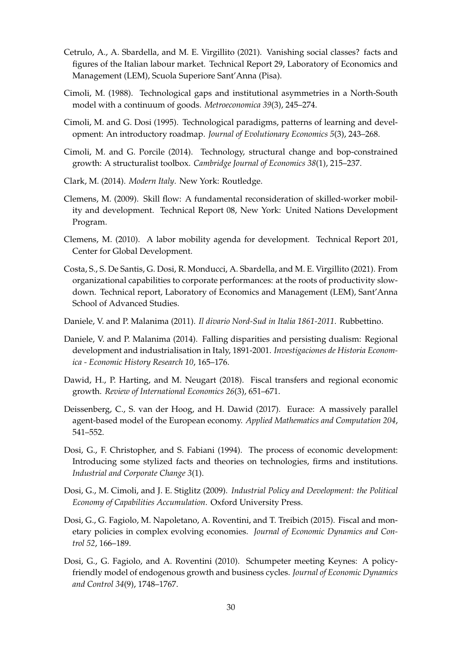- Cetrulo, A., A. Sbardella, and M. E. Virgillito (2021). Vanishing social classes? facts and figures of the Italian labour market. Technical Report 29, Laboratory of Economics and Management (LEM), Scuola Superiore Sant'Anna (Pisa).
- Cimoli, M. (1988). Technological gaps and institutional asymmetries in a North-South model with a continuum of goods. *Metroeconomica 39*(3), 245–274.
- Cimoli, M. and G. Dosi (1995). Technological paradigms, patterns of learning and development: An introductory roadmap. *Journal of Evolutionary Economics 5*(3), 243–268.
- Cimoli, M. and G. Porcile (2014). Technology, structural change and bop-constrained growth: A structuralist toolbox. *Cambridge Journal of Economics 38*(1), 215–237.
- Clark, M. (2014). *Modern Italy*. New York: Routledge.
- Clemens, M. (2009). Skill flow: A fundamental reconsideration of skilled-worker mobility and development. Technical Report 08, New York: United Nations Development Program.
- Clemens, M. (2010). A labor mobility agenda for development. Technical Report 201, Center for Global Development.
- Costa, S., S. De Santis, G. Dosi, R. Monducci, A. Sbardella, and M. E. Virgillito (2021). From organizational capabilities to corporate performances: at the roots of productivity slowdown. Technical report, Laboratory of Economics and Management (LEM), Sant'Anna School of Advanced Studies.
- Daniele, V. and P. Malanima (2011). *Il divario Nord-Sud in Italia 1861-2011*. Rubbettino.
- Daniele, V. and P. Malanima (2014). Falling disparities and persisting dualism: Regional development and industrialisation in Italy, 1891-2001. *Investigaciones de Historia Economica - Economic History Research 10*, 165–176.
- Dawid, H., P. Harting, and M. Neugart (2018). Fiscal transfers and regional economic growth. *Review of International Economics 26*(3), 651–671.
- Deissenberg, C., S. van der Hoog, and H. Dawid (2017). Eurace: A massively parallel agent-based model of the European economy. *Applied Mathematics and Computation 204*, 541–552.
- Dosi, G., F. Christopher, and S. Fabiani (1994). The process of economic development: Introducing some stylized facts and theories on technologies, firms and institutions. *Industrial and Corporate Change 3*(1).
- Dosi, G., M. Cimoli, and J. E. Stiglitz (2009). *Industrial Policy and Development: the Political Economy of Capabilities Accumulation*. Oxford University Press.
- Dosi, G., G. Fagiolo, M. Napoletano, A. Roventini, and T. Treibich (2015). Fiscal and monetary policies in complex evolving economies. *Journal of Economic Dynamics and Control 52*, 166–189.
- Dosi, G., G. Fagiolo, and A. Roventini (2010). Schumpeter meeting Keynes: A policyfriendly model of endogenous growth and business cycles. *Journal of Economic Dynamics and Control 34*(9), 1748–1767.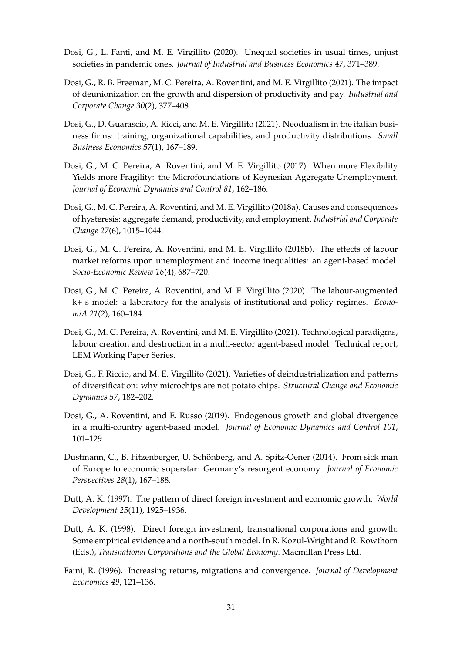- Dosi, G., L. Fanti, and M. E. Virgillito (2020). Unequal societies in usual times, unjust societies in pandemic ones. *Journal of Industrial and Business Economics 47*, 371–389.
- Dosi, G., R. B. Freeman, M. C. Pereira, A. Roventini, and M. E. Virgillito (2021). The impact of deunionization on the growth and dispersion of productivity and pay. *Industrial and Corporate Change 30*(2), 377–408.
- Dosi, G., D. Guarascio, A. Ricci, and M. E. Virgillito (2021). Neodualism in the italian business firms: training, organizational capabilities, and productivity distributions. *Small Business Economics 57*(1), 167–189.
- Dosi, G., M. C. Pereira, A. Roventini, and M. E. Virgillito (2017). When more Flexibility Yields more Fragility: the Microfoundations of Keynesian Aggregate Unemployment. *Journal of Economic Dynamics and Control 81*, 162–186.
- Dosi, G., M. C. Pereira, A. Roventini, and M. E. Virgillito (2018a). Causes and consequences of hysteresis: aggregate demand, productivity, and employment. *Industrial and Corporate Change 27*(6), 1015–1044.
- Dosi, G., M. C. Pereira, A. Roventini, and M. E. Virgillito (2018b). The effects of labour market reforms upon unemployment and income inequalities: an agent-based model. *Socio-Economic Review 16*(4), 687–720.
- Dosi, G., M. C. Pereira, A. Roventini, and M. E. Virgillito (2020). The labour-augmented k+ s model: a laboratory for the analysis of institutional and policy regimes. *EconomiA 21*(2), 160–184.
- Dosi, G., M. C. Pereira, A. Roventini, and M. E. Virgillito (2021). Technological paradigms, labour creation and destruction in a multi-sector agent-based model. Technical report, LEM Working Paper Series.
- Dosi, G., F. Riccio, and M. E. Virgillito (2021). Varieties of deindustrialization and patterns of diversification: why microchips are not potato chips. *Structural Change and Economic Dynamics 57*, 182–202.
- Dosi, G., A. Roventini, and E. Russo (2019). Endogenous growth and global divergence in a multi-country agent-based model. *Journal of Economic Dynamics and Control 101*, 101–129.
- Dustmann, C., B. Fitzenberger, U. Schönberg, and A. Spitz-Oener (2014). From sick man of Europe to economic superstar: Germany's resurgent economy. *Journal of Economic Perspectives 28*(1), 167–188.
- Dutt, A. K. (1997). The pattern of direct foreign investment and economic growth. *World Development 25*(11), 1925–1936.
- Dutt, A. K. (1998). Direct foreign investment, transnational corporations and growth: Some empirical evidence and a north-south model. In R. Kozul-Wright and R. Rowthorn (Eds.), *Transnational Corporations and the Global Economy*. Macmillan Press Ltd.
- Faini, R. (1996). Increasing returns, migrations and convergence. *Journal of Development Economics 49*, 121–136.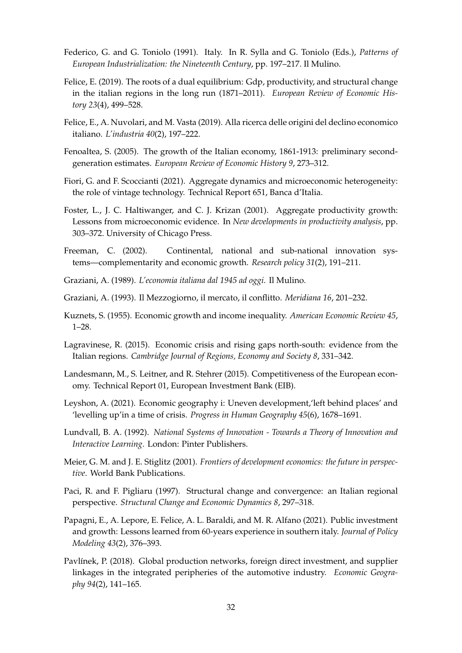- Federico, G. and G. Toniolo (1991). Italy. In R. Sylla and G. Toniolo (Eds.), *Patterns of European Industrialization: the Nineteenth Century*, pp. 197–217. Il Mulino.
- Felice, E. (2019). The roots of a dual equilibrium: Gdp, productivity, and structural change in the italian regions in the long run (1871–2011). *European Review of Economic History 23*(4), 499–528.
- Felice, E., A. Nuvolari, and M. Vasta (2019). Alla ricerca delle origini del declino economico italiano. *L'industria 40*(2), 197–222.
- Fenoaltea, S. (2005). The growth of the Italian economy, 1861-1913: preliminary secondgeneration estimates. *European Review of Economic History 9*, 273–312.
- Fiori, G. and F. Scoccianti (2021). Aggregate dynamics and microeconomic heterogeneity: the role of vintage technology. Technical Report 651, Banca d'Italia.
- Foster, L., J. C. Haltiwanger, and C. J. Krizan (2001). Aggregate productivity growth: Lessons from microeconomic evidence. In *New developments in productivity analysis*, pp. 303–372. University of Chicago Press.
- Freeman, C. (2002). Continental, national and sub-national innovation systems—complementarity and economic growth. *Research policy 31*(2), 191–211.
- Graziani, A. (1989). *L'economia italiana dal 1945 ad oggi*. Il Mulino.
- Graziani, A. (1993). Il Mezzogiorno, il mercato, il conflitto. *Meridiana 16*, 201–232.
- Kuznets, S. (1955). Economic growth and income inequality. *American Economic Review 45*, 1–28.
- Lagravinese, R. (2015). Economic crisis and rising gaps north-south: evidence from the Italian regions. *Cambridge Journal of Regions, Economy and Society 8*, 331–342.
- Landesmann, M., S. Leitner, and R. Stehrer (2015). Competitiveness of the European economy. Technical Report 01, European Investment Bank (EIB).
- Leyshon, A. (2021). Economic geography i: Uneven development,'left behind places' and 'levelling up'in a time of crisis. *Progress in Human Geography 45*(6), 1678–1691.
- Lundvall, B. A. (1992). *National Systems of Innovation Towards a Theory of Innovation and Interactive Learning*. London: Pinter Publishers.
- Meier, G. M. and J. E. Stiglitz (2001). *Frontiers of development economics: the future in perspective*. World Bank Publications.
- Paci, R. and F. Pigliaru (1997). Structural change and convergence: an Italian regional perspective. *Structural Change and Economic Dynamics 8*, 297–318.
- Papagni, E., A. Lepore, E. Felice, A. L. Baraldi, and M. R. Alfano (2021). Public investment and growth: Lessons learned from 60-years experience in southern italy. *Journal of Policy Modeling 43*(2), 376–393.
- Pavlínek, P. (2018). Global production networks, foreign direct investment, and supplier linkages in the integrated peripheries of the automotive industry. *Economic Geography 94*(2), 141–165.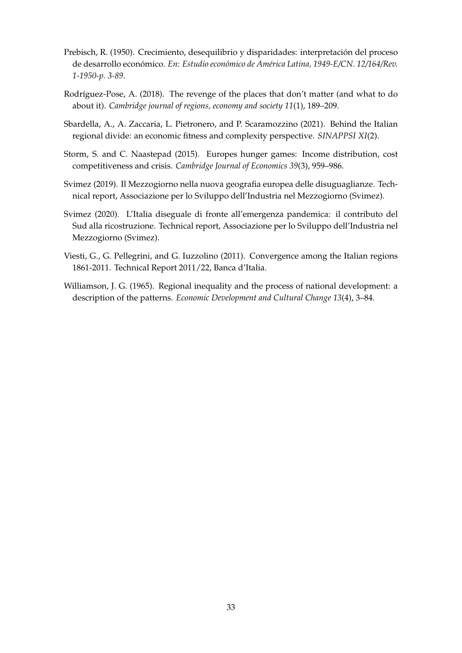- Prebisch, R. (1950). Crecimiento, desequilibrio y disparidades: interpretación del proceso de desarrollo económico. *En: Estudio económico de América Latina, 1949-E/CN. 12/164/Rev. 1-1950-p. 3-89*.
- Rodríguez-Pose, A. (2018). The revenge of the places that don't matter (and what to do about it). *Cambridge journal of regions, economy and society 11*(1), 189–209.
- Sbardella, A., A. Zaccaria, L. Pietronero, and P. Scaramozzino (2021). Behind the Italian regional divide: an economic fitness and complexity perspective. *SINAPPSI XI*(2).
- Storm, S. and C. Naastepad (2015). Europes hunger games: Income distribution, cost competitiveness and crisis. *Cambridge Journal of Economics 39*(3), 959–986.
- Svimez (2019). Il Mezzogiorno nella nuova geografia europea delle disuguaglianze. Technical report, Associazione per lo Sviluppo dell'Industria nel Mezzogiorno (Svimez).
- Svimez (2020). L'Italia diseguale di fronte all'emergenza pandemica: il contributo del Sud alla ricostruzione. Technical report, Associazione per lo Sviluppo dell'Industria nel Mezzogiorno (Svimez).
- Viesti, G., G. Pellegrini, and G. Iuzzolino (2011). Convergence among the Italian regions 1861-2011. Technical Report 2011/22, Banca d'Italia.
- Williamson, J. G. (1965). Regional inequality and the process of national development: a description of the patterns. *Economic Development and Cultural Change 13*(4), 3–84.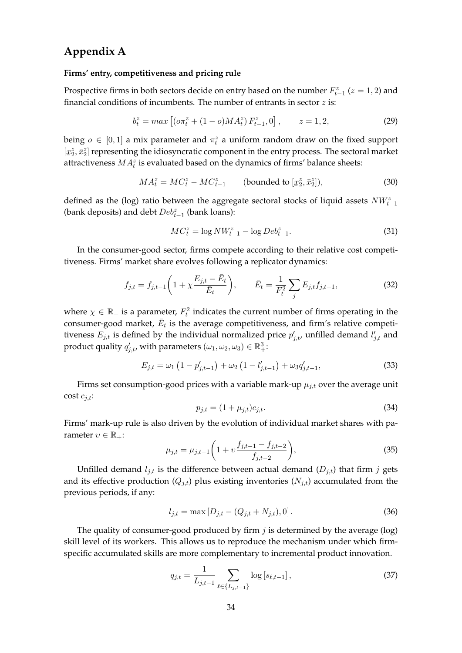# **Appendix A**

#### **Firms' entry, competitiveness and pricing rule**

Prospective firms in both sectors decide on entry based on the number  $F_{t-1}^z$  ( $z = 1, 2$ ) and financial conditions of incumbents. The number of entrants in sector  $z$  is:

$$
b_t^z = \max\left[ (\sigma \pi_t^z + (1 - \sigma) M A_t^z) F_{t-1}^z, 0 \right], \qquad z = 1, 2,
$$
 (29)

being  $o \in [0,1]$  a mix parameter and  $\pi_t^z$  a uniform random draw on the fixed support  $[\underline{x}_2^z,\bar{x}_2^z]$  representing the idiosyncratic component in the entry process. The sectoral market  $\frac{1}{2}, \frac{1}{2}$ ; representing the ratiosynchance component in the entry process. The sector attractiveness  $MA_t^z$  is evaluated based on the dynamics of firms' balance sheets:

$$
MA_t^z = MC_t^z - MC_{t-1}^z \qquad \text{(bounded to } [\underline{x}_2^z, \overline{x}_2^z]),\tag{30}
$$

defined as the (log) ratio between the aggregate sectoral stocks of liquid assets  $NW^z_{t-1}$ (bank deposits) and debt  $Deb_{t-1}^z$  (bank loans):

$$
MC_t^z = \log NW_{t-1}^z - \log Deb_{t-1}^z.
$$
\n(31)

In the consumer-good sector, firms compete according to their relative cost competitiveness. Firms' market share evolves following a replicator dynamics:

$$
f_{j,t} = f_{j,t-1} \left( 1 + \chi \frac{E_{j,t} - \bar{E}_t}{\bar{E}_t} \right), \qquad \bar{E}_t = \frac{1}{F_t^2} \sum_j E_{j,t} f_{j,t-1}, \tag{32}
$$

where  $\chi \in \mathbb{R}_+$  is a parameter,  $F_t^2$  indicates the current number of firms operating in the consumer-good market,  $\bar{E}_t$  is the average competitiveness, and firm's relative competitiveness  $E_{j,t}$  is defined by the individual normalized price  $p'_{j,t}$ , unfilled demand  $l'_{j,t}$  and product quality  $q'_{j,t}$ , with parameters  $(\omega_1, \omega_2, \omega_3) \in \mathbb{R}^3_+$ :

$$
E_{j,t} = \omega_1 \left( 1 - p'_{j,t-1} \right) + \omega_2 \left( 1 - l'_{j,t-1} \right) + \omega_3 q'_{j,t-1},\tag{33}
$$

Firms set consumption-good prices with a variable mark-up  $\mu_{j,t}$  over the average unit cost  $c_{j,t}$ :

$$
p_{j,t} = (1 + \mu_{j,t})c_{j,t}.
$$
\n(34)

Firms' mark-up rule is also driven by the evolution of individual market shares with parameter  $v \in \mathbb{R}_+$ :

$$
\mu_{j,t} = \mu_{j,t-1} \left( 1 + \nu \frac{f_{j,t-1} - f_{j,t-2}}{f_{j,t-2}} \right),\tag{35}
$$

Unfilled demand  $l_{j,t}$  is the difference between actual demand  $(D_{j,t})$  that firm j gets and its effective production  $(Q_{j,t})$  plus existing inventories  $(N_{j,t})$  accumulated from the previous periods, if any:

$$
l_{j,t} = \max [D_{j,t} - (Q_{j,t} + N_{j,t}), 0]. \tag{36}
$$

The quality of consumer-good produced by firm  $j$  is determined by the average (log) skill level of its workers. This allows us to reproduce the mechanism under which firmspecific accumulated skills are more complementary to incremental product innovation.

$$
q_{j,t} = \frac{1}{L_{j,t-1}} \sum_{\ell \in \{L_{j,t-1}\}} \log \left[ s_{\ell,t-1} \right],\tag{37}
$$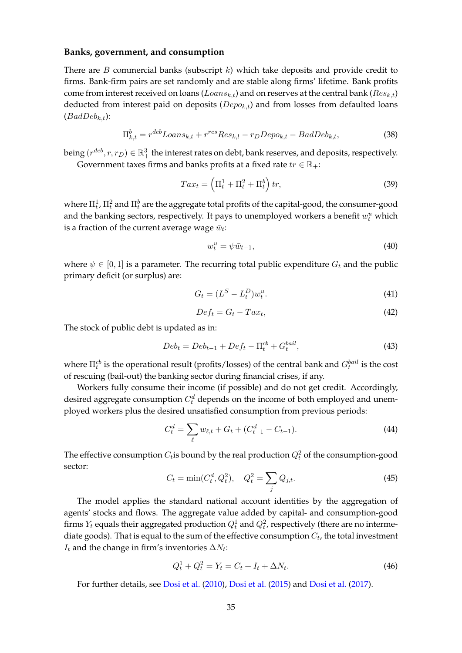#### **Banks, government, and consumption**

There are  $B$  commercial banks (subscript  $k$ ) which take deposits and provide credit to firms. Bank-firm pairs are set randomly and are stable along firms' lifetime. Bank profits come from interest received on loans ( $Loans_{k,t}$ ) and on reserves at the central bank ( $Res_{k,t}$ ) deducted from interest paid on deposits ( $Depo_{k,t}$ ) and from losses from defaulted loans  $(BadDeb_{k,t})$ :

$$
\Pi_{k,t}^b = r^{deb} Loans_{k,t} + r^{res}Res_{k,l} - r_DDepo_{k,t} - BadDeb_{k,t},\tag{38}
$$

being  $(r^{deb}, r, r_D) \in \mathbb{R}_+^3$  the interest rates on debt, bank reserves, and deposits, respectively. Government taxes firms and banks profits at a fixed rate  $tr \in \mathbb{R}_+$ :

$$
Tax_t = \left(\Pi_t^1 + \Pi_t^2 + \Pi_t^b\right)tr,\t\t(39)
$$

where  $\Pi_t^1$ ,  $\Pi_t^2$  and  $\Pi_t^b$  are the aggregate total profits of the capital-good, the consumer-good and the banking sectors, respectively. It pays to unemployed workers a benefit  $w_t^u$  which is a fraction of the current average wage  $\bar{w}_t$ :

$$
w_t^u = \psi \bar{w}_{t-1},\tag{40}
$$

where  $\psi \in [0, 1]$  is a parameter. The recurring total public expenditure  $G_t$  and the public primary deficit (or surplus) are:

$$
G_t = (L^S - L_t^D) w_t^u. \tag{41}
$$

$$
Def_t = G_t - Tax_t,\t\t(42)
$$

The stock of public debt is updated as in:

$$
Deb_t = Deb_{t-1} + Def_t - \Pi_t^{cb} + G_t^{bail},\tag{43}
$$

where  $\Pi_t^{cb}$  is the operational result (profits/losses) of the central bank and  $G_t^{bail}$  is the cost of rescuing (bail-out) the banking sector during financial crises, if any.

Workers fully consume their income (if possible) and do not get credit. Accordingly, desired aggregate consumption  $C_t^d$  depends on the income of both employed and unemployed workers plus the desired unsatisfied consumption from previous periods:

$$
C_t^d = \sum_{\ell} w_{\ell,t} + G_t + (C_{t-1}^d - C_{t-1}).
$$
\n(44)

The effective consumption  $C_t$ is bound by the real production  $Q_t^2$  of the consumption-good sector:

$$
C_t = \min(C_t^d, Q_t^2), \quad Q_t^2 = \sum_j Q_{j,t}.
$$
\n(45)

The model applies the standard national account identities by the aggregation of agents' stocks and flows. The aggregate value added by capital- and consumption-good firms  $Y_t$  equals their aggregated production  $Q_t^1$  and  $Q_t^2$ , respectively (there are no intermediate goods). That is equal to the sum of the effective consumption  $C_t$ , the total investment  $I_t$  and the change in firm's inventories  $\Delta N_t$ :

$$
Q_t^1 + Q_t^2 = Y_t = C_t + I_t + \Delta N_t.
$$
\n(46)

For further details, see Dosi et al. (2010), Dosi et al. (2015) and Dosi et al. (2017).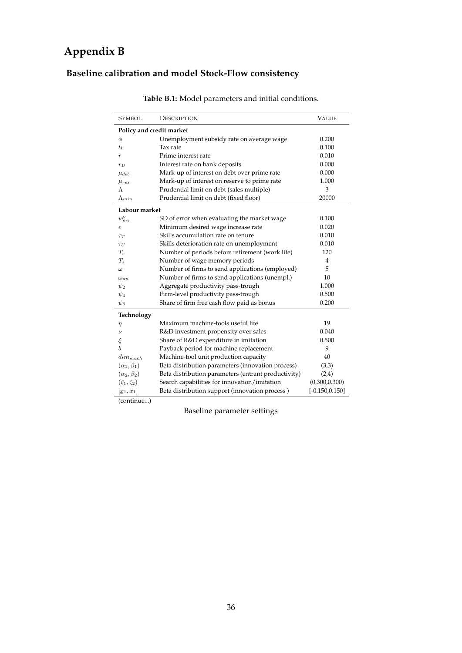# **Appendix B**

# **Baseline calibration and model Stock-Flow consistency**

| SYMBOL                        | DESCRIPTION                                         | <b>VALUE</b>      |
|-------------------------------|-----------------------------------------------------|-------------------|
|                               | Policy and credit market                            |                   |
| $\phi$                        | Unemployment subsidy rate on average wage           | 0.200             |
| tr                            | Tax rate                                            | 0.100             |
| $\boldsymbol{r}$              | Prime interest rate                                 | 0.010             |
| $r_D$                         | Interest rate on bank deposits                      | 0.000             |
| $\mu_{deb}$                   | Mark-up of interest on debt over prime rate         | 0.000             |
| $\mu_{res}$                   | Mark-up of interest on reserve to prime rate        | 1.000             |
| Λ                             | Prudential limit on debt (sales multiple)           | 3                 |
| $\Lambda_{min}$               | Prudential limit on debt (fixed floor)              | 20000             |
| Labour market                 |                                                     |                   |
| $w_{err}^o$                   | SD of error when evaluating the market wage         | 0.100             |
| $\epsilon$                    | Minimum desired wage increase rate                  | 0.020             |
| $\tau_T$                      | Skills accumulation rate on tenure                  | 0.010             |
| $\tau_U$                      | Skills deterioration rate on unemployment           | 0.010             |
| $T_r$                         | Number of periods before retirement (work life)     | 120               |
| $T_{\rm s}$                   | Number of wage memory periods                       | $\overline{4}$    |
| $\omega$                      | Number of firms to send applications (employed)     | 5                 |
| $\omega_{un}$                 | Number of firms to send applications (unempl.)      | 10                |
| $\psi_2$                      | Aggregate productivity pass-trough                  | 1.000             |
| $\psi_4$                      | Firm-level productivity pass-trough                 | 0.500             |
| $\psi_6$                      | Share of firm free cash flow paid as bonus          | 0.200             |
| Technology                    |                                                     |                   |
| η                             | Maximum machine-tools useful life                   | 19                |
| $\nu$                         | R&D investment propensity over sales                | 0.040             |
| ξ                             | Share of R&D expenditure in imitation               | 0.500             |
| b                             | Payback period for machine replacement              | 9                 |
| $dim_{mach}$                  | Machine-tool unit production capacity               | 40                |
| $(\alpha_1,\beta_1)$          | Beta distribution parameters (innovation process)   | (3,3)             |
| $(\alpha_2,\beta_2)$          | Beta distribution parameters (entrant productivity) | (2,4)             |
| $(\zeta_1,\zeta_2)$           | Search capabilities for innovation/imitation        | (0.300, 0.300)    |
| $[\underline{x}_1,\bar{x}_1]$ | Beta distribution support (innovation process)      | $[-0.150, 0.150]$ |

**Table B.1:** Model parameters and initial conditions.

(continue...)

Baseline parameter settings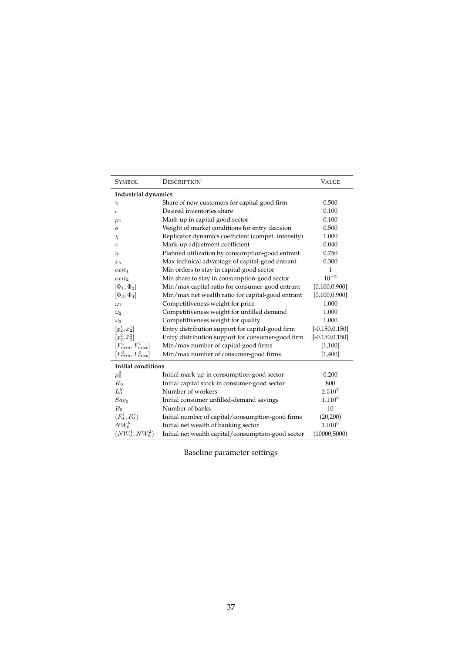| <b>SYMBOL</b>             | DESCRIPTION                                         | <b>VALUE</b>      |
|---------------------------|-----------------------------------------------------|-------------------|
| Industrial dynamics       |                                                     |                   |
| $\gamma$                  | Share of new customers for capital-good firm        | 0.500             |
| $\iota$                   | Desired inventories share                           | 0.100             |
| $\mu_1$                   | Mark-up in capital-good sector                      | 0.100             |
| 0                         | Weight of market conditions for entry decision      | 0.500             |
| $\chi$                    | Replicator dynamics coefficient (compet. intensity) | 1.000             |
| $\upsilon$                | Mark-up adjustment coefficient                      | 0.040             |
| $\boldsymbol{u}$          | Planned utilization by consumption-good entrant     | 0.750             |
| $x_5$                     | Max technical advantage of capital-good entrant     | 0.300             |
| $exit_1$                  | Min orders to stay in capital-good sector           | 1                 |
| $exit_2$                  | Min share to stay in consumption-good sector        | $10^{-5}$         |
| $[\Phi_1, \Phi_2]$        | Min/max capital ratio for consumer-good entrant     | [0.100, 0.900]    |
| $[\Phi_3, \Phi_4]$        | Min/max net wealth ratio for capital-good entrant   | [0.100, 0.900]    |
| $\omega_1$                | Competitiveness weight for price                    | 1.000             |
| $\omega_2$                | Competitiveness weight for unfilled demand          | 1.000             |
| $\omega_3$                | Competitiveness weight for quality                  | 1.000             |
| $[x_2^1, \bar{x}_2^1]$    | Entry distribution support for capital-good firm    | $[-0.150, 0.150]$ |
| $[x_2^2, \bar{x}_2^2]$    | Entry distribution support for consumer-good firm   | $[-0.150, 0.150]$ |
| $[F_{min}^1, F_{max}^1]$  | Min/max number of capital-good firms                | [1,100]           |
| $[F_{min}^2, F_{max}^2]$  | Min/max number of consumer-good firms               | [1,400]           |
| <b>Initial conditions</b> |                                                     |                   |
| $\mu_0^2$                 | Initial mark-up in consumption-good sector          | 0.200             |
| $K_0$                     | Initial capital stock in consumer-good sector       | 800               |
| $L_0^S$                   | Number of workers                                   | $2.510^{5}$       |
| $Sav_0$                   | Initial consumer unfilled-demand savings            | $1.110^{6}$       |
| B <sub>0</sub>            | Number of banks                                     | 10                |
| $(F_0^1, F_0^2)$          | Initial number of capital/consumption-good firms    | (20, 200)         |
| $NW_0^b$                  | Initial net wealth of banking sector                | $1.010^{6}$       |
| $(NW_0^1, NW_0^2)$        | Initial net wealth capital/consumption-good sector  | (10000, 5000)     |

Baseline parameter settings